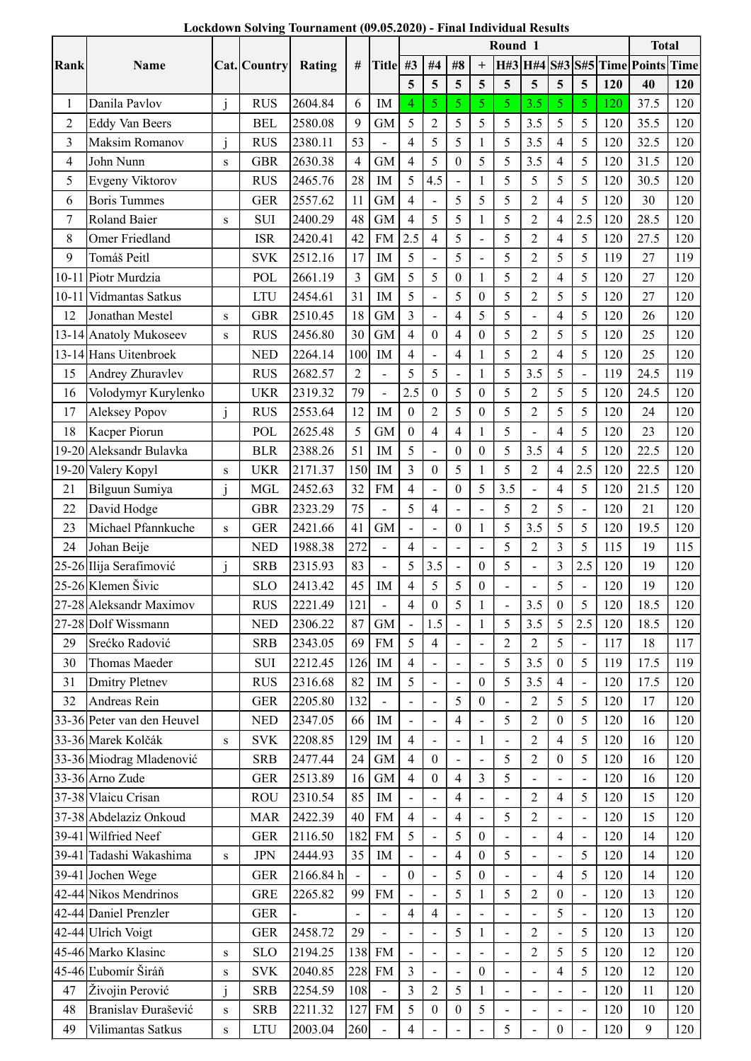|  | Lockdown Solving Tournament (09.05.2020) - Final Individual Results |  |
|--|---------------------------------------------------------------------|--|
|--|---------------------------------------------------------------------|--|

| $+$ H#3 H#4 S#3 S#5 Time Points<br><b>Time</b><br># Title #3   #4<br>#8<br>Rank<br>Name<br>Cat. Country<br>Rating<br>5 <sup>5</sup><br>$5\phantom{.0}$<br>$\overline{5}$<br>$5\phantom{.0}$<br>$5\overline{)}$<br>$\overline{5}$<br>$\overline{5}$<br>$5\overline{)}$<br>120<br>40<br>120<br>6<br>Danila Pavlov<br><b>RUS</b><br>2604.84<br>37.5<br>120<br>IM<br>5<br>5<br>5<br>3.5<br>5<br>5<br><b>120</b><br>4<br>9<br>$\mbox{GM}$<br>5<br>$\overline{2}$<br>$\mathfrak{S}$<br>5<br>3.5<br>5<br>5<br>2580.08<br>5<br>120<br>35.5<br>120<br>2<br><b>Eddy Van Beers</b><br><b>BEL</b><br>53<br>5<br>5<br>$\mathfrak{S}$<br>3.5<br>5<br>120<br>120<br>$\mathbf{3}$<br>2380.11<br>$\overline{4}$<br>$\overline{4}$<br>32.5<br>Maksim Romanov<br><b>RUS</b><br>$\overline{4}$<br>$\mbox{GM}$<br>$\overline{4}$<br>$\mathfrak{S}$<br>5<br>3.5<br>5<br>120<br>120<br>$\overline{4}$<br><b>GBR</b><br>2630.38<br>$\boldsymbol{0}$<br>5<br>$\overline{4}$<br>31.5<br>John Nunn<br>S<br>28<br>5<br>5<br>5<br>120<br>5<br>4.5<br>5<br>120<br>5<br>Evgeny Viktorov<br><b>RUS</b><br>2465.76<br>IM<br>30.5<br>$\blacksquare$<br><b>Boris Tummes</b><br>$\mbox{GM}$<br>5<br>5<br><b>GER</b><br>2557.62<br>11<br>5<br>$\overline{2}$<br>$\overline{4}$<br>5<br>120<br>30<br>120<br>4<br>6<br>48<br>5<br>5<br>2.5<br>120<br>Roland Baier<br>2400.29<br><b>GM</b><br>5<br>$\overline{2}$<br>$\overline{4}$<br>28.5<br>120<br>SUI<br>4<br>7<br>S<br><b>FM</b><br>2.5<br>5<br>5<br>$\mathfrak{2}$<br>5<br>120<br>27.5<br>8<br>Omer Friedland<br><b>ISR</b><br>2420.41<br>42<br>$\overline{4}$<br>$\overline{4}$<br>120<br>$\overline{\phantom{a}}$<br>5<br>$\mathfrak{S}$<br>5<br>9<br>Tomáš Peitl<br>2512.16<br>17<br>5<br>2<br>5<br>119<br>27<br>119<br><b>SVK</b><br>IM<br>$\overline{\phantom{a}}$<br>$5\overline{)}$<br>$\mathbf{3}$<br>$\mathfrak{S}$<br>$\boldsymbol{0}$<br>5<br>$\overline{2}$<br>5<br>27<br>10-11 Piotr Murdzia<br>2661.19<br>$\mbox{GM}$<br>$\overline{4}$<br>120<br>120<br>POL<br>5<br>31<br>5<br>5<br>5<br>27<br>$10-1$<br>Vidmantas Satkus<br><b>LTU</b><br>2454.61<br>$\boldsymbol{0}$<br>5<br>$\overline{2}$<br>120<br>120<br>IM<br>$\overline{\phantom{0}}$<br>5<br>18<br>$\overline{4}$<br>$\sqrt{5}$<br>26<br>2510.45<br><b>GM</b><br>3<br>$\overline{4}$<br>5<br>120<br>120<br>Jonathan Mestel<br><b>GBR</b><br>12<br>${\bf S}$<br>30<br>2456.80<br>$\,$ GM $\,$<br>$\overline{4}$<br>$\mathbf{0}$<br>$\boldsymbol{0}$<br>$\mathfrak{S}$<br>$\overline{2}$<br>5<br>5<br>120<br>25<br>120<br>13-14 Anatoly Mukoseev<br><b>RUS</b><br>$\overline{4}$<br>${\bf S}$<br>100<br>$\overline{4}$<br>$\sqrt{5}$<br>5<br>120<br>25<br>120<br><b>NED</b><br>2264.14<br>IM<br>$\overline{4}$<br>$\mathfrak{2}$<br>13-14 Hans Uitenbroek<br>4<br>2682.57<br>$\overline{2}$<br>5<br>3.5<br>5<br>24.5<br>119<br>Andrey Zhuravlev<br>5<br>$\sqrt{5}$<br>119<br><b>RUS</b><br>15<br>$\blacksquare$<br>$\blacksquare$<br>79<br>2319.32<br>5<br>5<br>5<br>120<br>120<br>Volodymyr Kurylenko<br><b>UKR</b><br>2.5<br>$\mathbf{0}$<br>$\boldsymbol{0}$<br>5<br>$\overline{2}$<br>24.5<br>16<br>5<br>12<br>$\sqrt{5}$<br>24<br>$\boldsymbol{0}$<br>$\sqrt{2}$<br>$\boldsymbol{0}$<br>$\sqrt{2}$<br>5<br>120<br>$\mathbf{j}$<br><b>RUS</b><br>2553.64<br>IM<br>5<br>120<br>17<br>Aleksey Popov<br>5 <sup>5</sup><br>23<br><b>GM</b><br>5<br>5<br>120<br>120<br>Kacper Piorun<br>POL<br>2625.48<br>$\overline{0}$<br>$\overline{4}$<br>$\overline{4}$<br>$\overline{4}$<br>18<br>$\blacksquare$<br>2388.26<br>51<br>5<br>5<br>22.5<br>19-20 Aleksandr Bulavka<br>$\boldsymbol{0}$<br>$\boldsymbol{0}$<br>3.5<br>$\overline{4}$<br>120<br>120<br><b>BLR</b><br>IM<br>5<br>150<br>2171.37<br>$\mathfrak{Z}$<br>5<br>2.5<br>120<br>120<br>Valery Kopyl<br>5<br>$\overline{c}$<br>22.5<br>19-20<br><b>UKR</b><br>IM<br>$\overline{0}$<br>$\overline{4}$<br>${\bf S}$<br>32<br>$\boldsymbol{0}$<br>$\sqrt{5}$<br>3.5<br>5<br>120<br>21.5<br>120<br><b>MGL</b><br>2452.63<br><b>FM</b><br>$\overline{4}$<br>$\overline{4}$<br>Bilguun Sumiya<br>21<br>j<br>75<br>5<br>5<br>2323.29<br>$\sqrt{5}$<br>$\overline{2}$<br>120<br>21<br>120<br>David Hodge<br><b>GBR</b><br>$\overline{4}$<br>22<br>$\blacksquare$<br>$\overline{\phantom{a}}$<br>$\boldsymbol{0}$<br>3.5<br>5<br>5<br>120<br>19.5<br><b>GER</b><br>2421.66<br>41<br><b>GM</b><br>$\sqrt{5}$<br>120<br>23<br>Michael Pfannkuche<br>${\bf S}$<br>$\blacksquare$<br>$\overline{a}$<br>272<br>1988.38<br>$\overline{4}$<br>$\mathfrak{Z}$<br>5<br>19<br>Johan Beije<br><b>NED</b><br>$\overline{2}$<br>115<br>115<br>24<br>5<br>$\blacksquare$<br>83<br>$\mathfrak{Z}$<br>5<br>$\boldsymbol{0}$<br>2.5<br>120<br>19<br>25-26 Ilija Serafimović<br>2315.93<br>3.5<br>5<br>120<br><b>SRB</b><br>$\overline{a}$<br>45<br>25-26 Klemen Šivic<br>5<br>19<br>2413.42<br>IM<br>5<br>$\boldsymbol{0}$<br>5<br>120<br>120<br><b>SLO</b><br>$\overline{4}$<br>$\overline{\phantom{a}}$<br>121<br>5<br>3.5<br>120<br>18.5<br>2221.49<br>$\boldsymbol{0}$<br>5<br>120<br>27-28<br><b>Aleksandr Maximov</b><br><b>RUS</b><br>$\overline{4}$<br>$\boldsymbol{0}$<br>2306.22<br>87<br><b>GM</b><br>3.5<br>5<br>2.5<br>120<br>18.5<br>27-28 Dolf Wissmann<br><b>NED</b><br>120<br>1.5<br>5<br>$\sim$<br>$\overline{\phantom{a}}$<br>5<br>5<br>117<br>2343.05<br>69<br><b>FM</b><br>$\mathfrak{2}$<br>$\mathfrak{2}$<br>18<br>Srećko Radović<br><b>SRB</b><br>$\overline{4}$<br>117<br>29<br>$\blacksquare$<br>$\blacksquare$<br>5<br>17.5<br>2212.45<br>126<br>3.5<br>119<br>119<br>Thomas Maeder<br><b>SUI</b><br>IM<br>$\overline{4}$<br>5<br>$\boldsymbol{0}$<br>30<br>$\blacksquare$<br>82<br>5<br>$\boldsymbol{0}$<br>120<br>17.5<br>120<br><b>Dmitry Pletnev</b><br><b>RUS</b><br>2316.68<br>IM<br>5<br>3.5<br>$\overline{4}$<br>31<br>$\overline{\phantom{a}}$<br>$\blacksquare$<br>$\overline{a}$<br>5<br>132<br>5<br>$\overline{5}$<br>120<br>2205.80<br>$\boldsymbol{0}$<br>$\overline{2}$<br>17<br>120<br>Andreas Rein<br><b>GER</b><br>32<br>$\overline{\phantom{a}}$<br>66<br>$\overline{4}$<br>5<br>5<br>120<br>16<br>120<br><b>NED</b><br>2347.05<br>IM<br>$\mathfrak{2}$<br>$\boldsymbol{0}$<br>33-36 Peter van den Heuvel<br>$\blacksquare$<br>129<br>$\overline{5}$<br><b>SVK</b><br>2208.85<br>$\overline{4}$<br>$\mathfrak{2}$<br>120<br>16<br>120<br>33-36 Marek Kolčák<br>IM<br>$\overline{4}$<br>${\bf S}$<br>$\sim$<br>24<br>120<br>2477.44<br>GM<br>$\boldsymbol{0}$<br>$\mathfrak{2}$<br>5<br>16<br>120<br>33-36 Miodrag Mladenović<br><b>SRB</b><br>$\overline{4}$<br>5<br>$\boldsymbol{0}$<br>$\blacksquare$<br>2513.89<br>16<br><b>GM</b><br>3<br>120<br>16<br>120<br>33-36 Arno Zude<br><b>GER</b><br>$\overline{4}$<br>$\mathbf{0}$<br>$\overline{4}$<br>5<br>$\overline{\phantom{a}}$<br>85<br>37-38 Vlaicu Crisan<br>$\sqrt{2}$<br>5<br>120<br>15<br><b>ROU</b><br>2310.54<br>IM<br>$\overline{4}$<br>$\overline{4}$<br>120<br>$\blacksquare$<br>$\overline{\phantom{a}}$<br>$\blacksquare$<br>$\overline{\phantom{a}}$<br>2422.39<br>40<br>15<br>37-38 Abdelaziz Onkoud<br><b>FM</b><br>$\overline{4}$<br>$\overline{4}$<br>5<br>$\overline{2}$<br>120<br>120<br><b>MAR</b><br>$\overline{\phantom{a}}$<br>$\overline{a}$<br>5<br>5<br>182<br>2116.50<br>$\boldsymbol{0}$<br>$\overline{4}$<br>120<br>14<br>$39-41$ Wilfried Neef<br><b>GER</b><br><b>FM</b><br>120<br>$\overline{\phantom{a}}$<br>$\overline{\phantom{a}}$<br>$\overline{\phantom{a}}$<br>$\overline{\phantom{a}}$<br>39-41 Tadashi Wakashima<br><b>JPN</b><br>2444.93<br>$35$ M<br>$\overline{4}$<br>$\boldsymbol{0}$<br>5<br>5<br>120<br>14<br>120<br>${\bf S}$<br>$\sim$<br>$\blacksquare$<br>$\blacksquare$<br>$\overline{\phantom{a}}$<br>5<br>2166.84 h<br>5<br>39-41 Jochen Wege<br>$\overline{0}$<br>$\boldsymbol{0}$<br>$\overline{4}$<br>120<br>14<br>120<br><b>GER</b><br>99 FM<br>$\mathfrak{H}$<br>42-44 Nikos Mendrinos<br>2265.82<br>$\mathfrak{H}$<br>$\overline{2}$<br>120<br>120<br>13<br><b>GRE</b><br>$\boldsymbol{0}$<br>$\blacksquare$<br>$\blacksquare$<br>$\overline{\phantom{a}}$<br>$\overline{4}$<br>$\sqrt{5}$<br>42-44 Daniel Prenzler<br>120<br>13<br>120<br>${\tt GER}$<br>$\overline{4}$<br>$\blacksquare$<br>$\blacksquare$<br>$\blacksquare$<br>$\overline{\phantom{a}}$<br>$\overline{\phantom{a}}$<br>$\overline{\phantom{a}}$<br>29<br>42-44 Ulrich Voigt<br>2458.72<br>$\sqrt{5}$<br>120<br><b>GER</b><br>$\overline{2}$<br>$\overline{5}$<br>120<br>13<br>$\overline{\phantom{a}}$<br>$\overline{a}$<br>138<br>45-46 Marko Klasinc<br>2194.25<br><b>FM</b><br>$\sqrt{5}$<br>120<br>12<br>120<br><b>SLO</b><br>$\overline{2}$<br>5<br>${\bf S}$<br>$\overline{\phantom{a}}$<br>$\blacksquare$<br>$\overline{a}$<br>228<br>45-46 Ľubomír Širáň<br>${\rm FM}$<br>2040.85<br>$\mathbf{3}$<br>120<br>12<br>120<br><b>SVK</b><br>$\boldsymbol{0}$<br>5<br>$\overline{4}$<br>$\blacksquare$<br>${\bf S}$<br>$\blacksquare$<br>2254.59<br>108<br>$\mathfrak{H}$<br>Živojin Perović<br>$\mathfrak{Z}$<br>$\overline{2}$<br>120<br>120<br>47<br><b>SRB</b><br>11<br>$\blacksquare$<br>$\overline{\phantom{a}}$<br>$\overline{\phantom{a}}$<br>$\overline{\phantom{a}}$<br>Branislav Đurašević<br>2211.32<br>$5\overline{)}$<br>127<br>${\rm FM}$<br>$\boldsymbol{0}$<br>$\mathfrak{S}$<br>10<br><b>SRB</b><br>$\boldsymbol{0}$<br>120<br>120<br>48<br>${\bf S}$<br>$\overline{\phantom{a}}$<br>$\overline{\phantom{a}}$<br>$\overline{\phantom{a}}$<br>$\overline{\phantom{a}}$ |    |                   |           |            |         |     |                |        |                | Lockdown Solving Tournament (09.05.2020) - Final Individual Results<br>Round 1 |   |                          |                  |        |     | <b>Total</b> |     |  |
|---------------------------------------------------------------------------------------------------------------------------------------------------------------------------------------------------------------------------------------------------------------------------------------------------------------------------------------------------------------------------------------------------------------------------------------------------------------------------------------------------------------------------------------------------------------------------------------------------------------------------------------------------------------------------------------------------------------------------------------------------------------------------------------------------------------------------------------------------------------------------------------------------------------------------------------------------------------------------------------------------------------------------------------------------------------------------------------------------------------------------------------------------------------------------------------------------------------------------------------------------------------------------------------------------------------------------------------------------------------------------------------------------------------------------------------------------------------------------------------------------------------------------------------------------------------------------------------------------------------------------------------------------------------------------------------------------------------------------------------------------------------------------------------------------------------------------------------------------------------------------------------------------------------------------------------------------------------------------------------------------------------------------------------------------------------------------------------------------------------------------------------------------------------------------------------------------------------------------------------------------------------------------------------------------------------------------------------------------------------------------------------------------------------------------------------------------------------------------------------------------------------------------------------------------------------------------------------------------------------------------------------------------------------------------------------------------------------------------------------------------------------------------------------------------------------------------------------------------------------------------------------------------------------------------------------------------------------------------------------------------------------------------------------------------------------------------------------------------------------------------------------------------------------------------------------------------------------------------------------------------------------------------------------------------------------------------------------------------------------------------------------------------------------------------------------------------------------------------------------------------------------------------------------------------------------------------------------------------------------------------------------------------------------------------------------------------------------------------------------------------------------------------------------------------------------------------------------------------------------------------------------------------------------------------------------------------------------------------------------------------------------------------------------------------------------------------------------------------------------------------------------------------------------------------------------------------------------------------------------------------------------------------------------------------------------------------------------------------------------------------------------------------------------------------------------------------------------------------------------------------------------------------------------------------------------------------------------------------------------------------------------------------------------------------------------------------------------------------------------------------------------------------------------------------------------------------------------------------------------------------------------------------------------------------------------------------------------------------------------------------------------------------------------------------------------------------------------------------------------------------------------------------------------------------------------------------------------------------------------------------------------------------------------------------------------------------------------------------------------------------------------------------------------------------------------------------------------------------------------------------------------------------------------------------------------------------------------------------------------------------------------------------------------------------------------------------------------------------------------------------------------------------------------------------------------------------------------------------------------------------------------------------------------------------------------------------------------------------------------------------------------------------------------------------------------------------------------------------------------------------------------------------------------------------------------------------------------------------------------------------------------------------------------------------------------------------------------------------------------------------------------------------------------------------------------------------------------------------------------------------------------------------------------------------------------------------------------------------------------------------------------------------------------------------------------------------------------------------------------------------------------------------------------------------------------------------------------------------------------------------------------------------------------------------------------------------------------------------------------------------------------------------------------------------------------------------------------------------------------------------------------------------------------------------------------------------------------------------------------------------------------------------------------------------------------------------------------------------------------------------------------------------------------------------------------------------------------------------------------------------------------------------------------------------------------------------------------------------------------------------------------------------------------------------------------------------------------------------------------------------------------------------------------------------------------------------------------------------------------------------------------------------------------------------------------------------------------------------------------------------------------------------------------------------------------------------------------------------------------------------------------------------------------------------------------------------------------------------------------------------------------------------------------------------------------------------------------------------------------------------------------------------------------------------------------------------------------------------------------------------------------------------------------------------------------------------------------------------------------------------------------------------------------------------------------------------------------------------------------------------------------------------------------------------------------------------------------------------------------------------------------------------------------------------------------------------------------------------------------------------------------------------------------------------------------------------------------------------------------------------------------------------------------------------------------------------------------------------------------------------------------------------------------------------------------------------------------------------------------------------------------------------------------------------------------------|----|-------------------|-----------|------------|---------|-----|----------------|--------|----------------|--------------------------------------------------------------------------------|---|--------------------------|------------------|--------|-----|--------------|-----|--|
|                                                                                                                                                                                                                                                                                                                                                                                                                                                                                                                                                                                                                                                                                                                                                                                                                                                                                                                                                                                                                                                                                                                                                                                                                                                                                                                                                                                                                                                                                                                                                                                                                                                                                                                                                                                                                                                                                                                                                                                                                                                                                                                                                                                                                                                                                                                                                                                                                                                                                                                                                                                                                                                                                                                                                                                                                                                                                                                                                                                                                                                                                                                                                                                                                                                                                                                                                                                                                                                                                                                                                                                                                                                                                                                                                                                                                                                                                                                                                                                                                                                                                                                                                                                                                                                                                                                                                                                                                                                                                                                                                                                                                                                                                                                                                                                                                                                                                                                                                                                                                                                                                                                                                                                                                                                                                                                                                                                                                                                                                                                                                                                                                                                                                                                                                                                                                                                                                                                                                                                                                                                                                                                                                                                                                                                                                                                                                                                                                                                                                                                                                                                                                                                                                                                                                                                                                                                                                                                                                                                                                                                                                                                                                                                                                                                                                                                                                                                                                                                                                                                                                                                                                                                                                                                                                                                                                                                                                                                                                                                                                                                                                                                                                                                                                                                                                                                                                                                                                                                                                                                                                                                                                                                                                                                                                                                                                                                                                                                                                                                                                                                                                                                                                                                                                                                                                                                                                                                                                                             |    |                   |           |            |         |     |                |        |                |                                                                                |   |                          |                  |        |     |              |     |  |
|                                                                                                                                                                                                                                                                                                                                                                                                                                                                                                                                                                                                                                                                                                                                                                                                                                                                                                                                                                                                                                                                                                                                                                                                                                                                                                                                                                                                                                                                                                                                                                                                                                                                                                                                                                                                                                                                                                                                                                                                                                                                                                                                                                                                                                                                                                                                                                                                                                                                                                                                                                                                                                                                                                                                                                                                                                                                                                                                                                                                                                                                                                                                                                                                                                                                                                                                                                                                                                                                                                                                                                                                                                                                                                                                                                                                                                                                                                                                                                                                                                                                                                                                                                                                                                                                                                                                                                                                                                                                                                                                                                                                                                                                                                                                                                                                                                                                                                                                                                                                                                                                                                                                                                                                                                                                                                                                                                                                                                                                                                                                                                                                                                                                                                                                                                                                                                                                                                                                                                                                                                                                                                                                                                                                                                                                                                                                                                                                                                                                                                                                                                                                                                                                                                                                                                                                                                                                                                                                                                                                                                                                                                                                                                                                                                                                                                                                                                                                                                                                                                                                                                                                                                                                                                                                                                                                                                                                                                                                                                                                                                                                                                                                                                                                                                                                                                                                                                                                                                                                                                                                                                                                                                                                                                                                                                                                                                                                                                                                                                                                                                                                                                                                                                                                                                                                                                                                                                                                                                             |    |                   |           |            |         |     |                |        |                |                                                                                |   |                          |                  |        |     |              |     |  |
|                                                                                                                                                                                                                                                                                                                                                                                                                                                                                                                                                                                                                                                                                                                                                                                                                                                                                                                                                                                                                                                                                                                                                                                                                                                                                                                                                                                                                                                                                                                                                                                                                                                                                                                                                                                                                                                                                                                                                                                                                                                                                                                                                                                                                                                                                                                                                                                                                                                                                                                                                                                                                                                                                                                                                                                                                                                                                                                                                                                                                                                                                                                                                                                                                                                                                                                                                                                                                                                                                                                                                                                                                                                                                                                                                                                                                                                                                                                                                                                                                                                                                                                                                                                                                                                                                                                                                                                                                                                                                                                                                                                                                                                                                                                                                                                                                                                                                                                                                                                                                                                                                                                                                                                                                                                                                                                                                                                                                                                                                                                                                                                                                                                                                                                                                                                                                                                                                                                                                                                                                                                                                                                                                                                                                                                                                                                                                                                                                                                                                                                                                                                                                                                                                                                                                                                                                                                                                                                                                                                                                                                                                                                                                                                                                                                                                                                                                                                                                                                                                                                                                                                                                                                                                                                                                                                                                                                                                                                                                                                                                                                                                                                                                                                                                                                                                                                                                                                                                                                                                                                                                                                                                                                                                                                                                                                                                                                                                                                                                                                                                                                                                                                                                                                                                                                                                                                                                                                                                                             |    |                   |           |            |         |     |                |        |                |                                                                                |   |                          |                  |        |     |              |     |  |
|                                                                                                                                                                                                                                                                                                                                                                                                                                                                                                                                                                                                                                                                                                                                                                                                                                                                                                                                                                                                                                                                                                                                                                                                                                                                                                                                                                                                                                                                                                                                                                                                                                                                                                                                                                                                                                                                                                                                                                                                                                                                                                                                                                                                                                                                                                                                                                                                                                                                                                                                                                                                                                                                                                                                                                                                                                                                                                                                                                                                                                                                                                                                                                                                                                                                                                                                                                                                                                                                                                                                                                                                                                                                                                                                                                                                                                                                                                                                                                                                                                                                                                                                                                                                                                                                                                                                                                                                                                                                                                                                                                                                                                                                                                                                                                                                                                                                                                                                                                                                                                                                                                                                                                                                                                                                                                                                                                                                                                                                                                                                                                                                                                                                                                                                                                                                                                                                                                                                                                                                                                                                                                                                                                                                                                                                                                                                                                                                                                                                                                                                                                                                                                                                                                                                                                                                                                                                                                                                                                                                                                                                                                                                                                                                                                                                                                                                                                                                                                                                                                                                                                                                                                                                                                                                                                                                                                                                                                                                                                                                                                                                                                                                                                                                                                                                                                                                                                                                                                                                                                                                                                                                                                                                                                                                                                                                                                                                                                                                                                                                                                                                                                                                                                                                                                                                                                                                                                                                                                             |    |                   |           |            |         |     |                |        |                |                                                                                |   |                          |                  |        |     |              |     |  |
|                                                                                                                                                                                                                                                                                                                                                                                                                                                                                                                                                                                                                                                                                                                                                                                                                                                                                                                                                                                                                                                                                                                                                                                                                                                                                                                                                                                                                                                                                                                                                                                                                                                                                                                                                                                                                                                                                                                                                                                                                                                                                                                                                                                                                                                                                                                                                                                                                                                                                                                                                                                                                                                                                                                                                                                                                                                                                                                                                                                                                                                                                                                                                                                                                                                                                                                                                                                                                                                                                                                                                                                                                                                                                                                                                                                                                                                                                                                                                                                                                                                                                                                                                                                                                                                                                                                                                                                                                                                                                                                                                                                                                                                                                                                                                                                                                                                                                                                                                                                                                                                                                                                                                                                                                                                                                                                                                                                                                                                                                                                                                                                                                                                                                                                                                                                                                                                                                                                                                                                                                                                                                                                                                                                                                                                                                                                                                                                                                                                                                                                                                                                                                                                                                                                                                                                                                                                                                                                                                                                                                                                                                                                                                                                                                                                                                                                                                                                                                                                                                                                                                                                                                                                                                                                                                                                                                                                                                                                                                                                                                                                                                                                                                                                                                                                                                                                                                                                                                                                                                                                                                                                                                                                                                                                                                                                                                                                                                                                                                                                                                                                                                                                                                                                                                                                                                                                                                                                                                                             |    |                   |           |            |         |     |                |        |                |                                                                                |   |                          |                  |        |     |              |     |  |
|                                                                                                                                                                                                                                                                                                                                                                                                                                                                                                                                                                                                                                                                                                                                                                                                                                                                                                                                                                                                                                                                                                                                                                                                                                                                                                                                                                                                                                                                                                                                                                                                                                                                                                                                                                                                                                                                                                                                                                                                                                                                                                                                                                                                                                                                                                                                                                                                                                                                                                                                                                                                                                                                                                                                                                                                                                                                                                                                                                                                                                                                                                                                                                                                                                                                                                                                                                                                                                                                                                                                                                                                                                                                                                                                                                                                                                                                                                                                                                                                                                                                                                                                                                                                                                                                                                                                                                                                                                                                                                                                                                                                                                                                                                                                                                                                                                                                                                                                                                                                                                                                                                                                                                                                                                                                                                                                                                                                                                                                                                                                                                                                                                                                                                                                                                                                                                                                                                                                                                                                                                                                                                                                                                                                                                                                                                                                                                                                                                                                                                                                                                                                                                                                                                                                                                                                                                                                                                                                                                                                                                                                                                                                                                                                                                                                                                                                                                                                                                                                                                                                                                                                                                                                                                                                                                                                                                                                                                                                                                                                                                                                                                                                                                                                                                                                                                                                                                                                                                                                                                                                                                                                                                                                                                                                                                                                                                                                                                                                                                                                                                                                                                                                                                                                                                                                                                                                                                                                                                             |    |                   |           |            |         |     |                |        |                |                                                                                |   |                          |                  |        |     |              |     |  |
|                                                                                                                                                                                                                                                                                                                                                                                                                                                                                                                                                                                                                                                                                                                                                                                                                                                                                                                                                                                                                                                                                                                                                                                                                                                                                                                                                                                                                                                                                                                                                                                                                                                                                                                                                                                                                                                                                                                                                                                                                                                                                                                                                                                                                                                                                                                                                                                                                                                                                                                                                                                                                                                                                                                                                                                                                                                                                                                                                                                                                                                                                                                                                                                                                                                                                                                                                                                                                                                                                                                                                                                                                                                                                                                                                                                                                                                                                                                                                                                                                                                                                                                                                                                                                                                                                                                                                                                                                                                                                                                                                                                                                                                                                                                                                                                                                                                                                                                                                                                                                                                                                                                                                                                                                                                                                                                                                                                                                                                                                                                                                                                                                                                                                                                                                                                                                                                                                                                                                                                                                                                                                                                                                                                                                                                                                                                                                                                                                                                                                                                                                                                                                                                                                                                                                                                                                                                                                                                                                                                                                                                                                                                                                                                                                                                                                                                                                                                                                                                                                                                                                                                                                                                                                                                                                                                                                                                                                                                                                                                                                                                                                                                                                                                                                                                                                                                                                                                                                                                                                                                                                                                                                                                                                                                                                                                                                                                                                                                                                                                                                                                                                                                                                                                                                                                                                                                                                                                                                                             |    |                   |           |            |         |     |                |        |                |                                                                                |   |                          |                  |        |     |              |     |  |
|                                                                                                                                                                                                                                                                                                                                                                                                                                                                                                                                                                                                                                                                                                                                                                                                                                                                                                                                                                                                                                                                                                                                                                                                                                                                                                                                                                                                                                                                                                                                                                                                                                                                                                                                                                                                                                                                                                                                                                                                                                                                                                                                                                                                                                                                                                                                                                                                                                                                                                                                                                                                                                                                                                                                                                                                                                                                                                                                                                                                                                                                                                                                                                                                                                                                                                                                                                                                                                                                                                                                                                                                                                                                                                                                                                                                                                                                                                                                                                                                                                                                                                                                                                                                                                                                                                                                                                                                                                                                                                                                                                                                                                                                                                                                                                                                                                                                                                                                                                                                                                                                                                                                                                                                                                                                                                                                                                                                                                                                                                                                                                                                                                                                                                                                                                                                                                                                                                                                                                                                                                                                                                                                                                                                                                                                                                                                                                                                                                                                                                                                                                                                                                                                                                                                                                                                                                                                                                                                                                                                                                                                                                                                                                                                                                                                                                                                                                                                                                                                                                                                                                                                                                                                                                                                                                                                                                                                                                                                                                                                                                                                                                                                                                                                                                                                                                                                                                                                                                                                                                                                                                                                                                                                                                                                                                                                                                                                                                                                                                                                                                                                                                                                                                                                                                                                                                                                                                                                                                             |    |                   |           |            |         |     |                |        |                |                                                                                |   |                          |                  |        |     |              |     |  |
|                                                                                                                                                                                                                                                                                                                                                                                                                                                                                                                                                                                                                                                                                                                                                                                                                                                                                                                                                                                                                                                                                                                                                                                                                                                                                                                                                                                                                                                                                                                                                                                                                                                                                                                                                                                                                                                                                                                                                                                                                                                                                                                                                                                                                                                                                                                                                                                                                                                                                                                                                                                                                                                                                                                                                                                                                                                                                                                                                                                                                                                                                                                                                                                                                                                                                                                                                                                                                                                                                                                                                                                                                                                                                                                                                                                                                                                                                                                                                                                                                                                                                                                                                                                                                                                                                                                                                                                                                                                                                                                                                                                                                                                                                                                                                                                                                                                                                                                                                                                                                                                                                                                                                                                                                                                                                                                                                                                                                                                                                                                                                                                                                                                                                                                                                                                                                                                                                                                                                                                                                                                                                                                                                                                                                                                                                                                                                                                                                                                                                                                                                                                                                                                                                                                                                                                                                                                                                                                                                                                                                                                                                                                                                                                                                                                                                                                                                                                                                                                                                                                                                                                                                                                                                                                                                                                                                                                                                                                                                                                                                                                                                                                                                                                                                                                                                                                                                                                                                                                                                                                                                                                                                                                                                                                                                                                                                                                                                                                                                                                                                                                                                                                                                                                                                                                                                                                                                                                                                                             |    |                   |           |            |         |     |                |        |                |                                                                                |   |                          |                  |        |     |              |     |  |
|                                                                                                                                                                                                                                                                                                                                                                                                                                                                                                                                                                                                                                                                                                                                                                                                                                                                                                                                                                                                                                                                                                                                                                                                                                                                                                                                                                                                                                                                                                                                                                                                                                                                                                                                                                                                                                                                                                                                                                                                                                                                                                                                                                                                                                                                                                                                                                                                                                                                                                                                                                                                                                                                                                                                                                                                                                                                                                                                                                                                                                                                                                                                                                                                                                                                                                                                                                                                                                                                                                                                                                                                                                                                                                                                                                                                                                                                                                                                                                                                                                                                                                                                                                                                                                                                                                                                                                                                                                                                                                                                                                                                                                                                                                                                                                                                                                                                                                                                                                                                                                                                                                                                                                                                                                                                                                                                                                                                                                                                                                                                                                                                                                                                                                                                                                                                                                                                                                                                                                                                                                                                                                                                                                                                                                                                                                                                                                                                                                                                                                                                                                                                                                                                                                                                                                                                                                                                                                                                                                                                                                                                                                                                                                                                                                                                                                                                                                                                                                                                                                                                                                                                                                                                                                                                                                                                                                                                                                                                                                                                                                                                                                                                                                                                                                                                                                                                                                                                                                                                                                                                                                                                                                                                                                                                                                                                                                                                                                                                                                                                                                                                                                                                                                                                                                                                                                                                                                                                                                             |    |                   |           |            |         |     |                |        |                |                                                                                |   |                          |                  |        |     |              |     |  |
|                                                                                                                                                                                                                                                                                                                                                                                                                                                                                                                                                                                                                                                                                                                                                                                                                                                                                                                                                                                                                                                                                                                                                                                                                                                                                                                                                                                                                                                                                                                                                                                                                                                                                                                                                                                                                                                                                                                                                                                                                                                                                                                                                                                                                                                                                                                                                                                                                                                                                                                                                                                                                                                                                                                                                                                                                                                                                                                                                                                                                                                                                                                                                                                                                                                                                                                                                                                                                                                                                                                                                                                                                                                                                                                                                                                                                                                                                                                                                                                                                                                                                                                                                                                                                                                                                                                                                                                                                                                                                                                                                                                                                                                                                                                                                                                                                                                                                                                                                                                                                                                                                                                                                                                                                                                                                                                                                                                                                                                                                                                                                                                                                                                                                                                                                                                                                                                                                                                                                                                                                                                                                                                                                                                                                                                                                                                                                                                                                                                                                                                                                                                                                                                                                                                                                                                                                                                                                                                                                                                                                                                                                                                                                                                                                                                                                                                                                                                                                                                                                                                                                                                                                                                                                                                                                                                                                                                                                                                                                                                                                                                                                                                                                                                                                                                                                                                                                                                                                                                                                                                                                                                                                                                                                                                                                                                                                                                                                                                                                                                                                                                                                                                                                                                                                                                                                                                                                                                                                                             |    |                   |           |            |         |     |                |        |                |                                                                                |   |                          |                  |        |     |              |     |  |
|                                                                                                                                                                                                                                                                                                                                                                                                                                                                                                                                                                                                                                                                                                                                                                                                                                                                                                                                                                                                                                                                                                                                                                                                                                                                                                                                                                                                                                                                                                                                                                                                                                                                                                                                                                                                                                                                                                                                                                                                                                                                                                                                                                                                                                                                                                                                                                                                                                                                                                                                                                                                                                                                                                                                                                                                                                                                                                                                                                                                                                                                                                                                                                                                                                                                                                                                                                                                                                                                                                                                                                                                                                                                                                                                                                                                                                                                                                                                                                                                                                                                                                                                                                                                                                                                                                                                                                                                                                                                                                                                                                                                                                                                                                                                                                                                                                                                                                                                                                                                                                                                                                                                                                                                                                                                                                                                                                                                                                                                                                                                                                                                                                                                                                                                                                                                                                                                                                                                                                                                                                                                                                                                                                                                                                                                                                                                                                                                                                                                                                                                                                                                                                                                                                                                                                                                                                                                                                                                                                                                                                                                                                                                                                                                                                                                                                                                                                                                                                                                                                                                                                                                                                                                                                                                                                                                                                                                                                                                                                                                                                                                                                                                                                                                                                                                                                                                                                                                                                                                                                                                                                                                                                                                                                                                                                                                                                                                                                                                                                                                                                                                                                                                                                                                                                                                                                                                                                                                                                             |    |                   |           |            |         |     |                |        |                |                                                                                |   |                          |                  |        |     |              |     |  |
|                                                                                                                                                                                                                                                                                                                                                                                                                                                                                                                                                                                                                                                                                                                                                                                                                                                                                                                                                                                                                                                                                                                                                                                                                                                                                                                                                                                                                                                                                                                                                                                                                                                                                                                                                                                                                                                                                                                                                                                                                                                                                                                                                                                                                                                                                                                                                                                                                                                                                                                                                                                                                                                                                                                                                                                                                                                                                                                                                                                                                                                                                                                                                                                                                                                                                                                                                                                                                                                                                                                                                                                                                                                                                                                                                                                                                                                                                                                                                                                                                                                                                                                                                                                                                                                                                                                                                                                                                                                                                                                                                                                                                                                                                                                                                                                                                                                                                                                                                                                                                                                                                                                                                                                                                                                                                                                                                                                                                                                                                                                                                                                                                                                                                                                                                                                                                                                                                                                                                                                                                                                                                                                                                                                                                                                                                                                                                                                                                                                                                                                                                                                                                                                                                                                                                                                                                                                                                                                                                                                                                                                                                                                                                                                                                                                                                                                                                                                                                                                                                                                                                                                                                                                                                                                                                                                                                                                                                                                                                                                                                                                                                                                                                                                                                                                                                                                                                                                                                                                                                                                                                                                                                                                                                                                                                                                                                                                                                                                                                                                                                                                                                                                                                                                                                                                                                                                                                                                                                                             |    |                   |           |            |         |     |                |        |                |                                                                                |   |                          |                  |        |     |              |     |  |
|                                                                                                                                                                                                                                                                                                                                                                                                                                                                                                                                                                                                                                                                                                                                                                                                                                                                                                                                                                                                                                                                                                                                                                                                                                                                                                                                                                                                                                                                                                                                                                                                                                                                                                                                                                                                                                                                                                                                                                                                                                                                                                                                                                                                                                                                                                                                                                                                                                                                                                                                                                                                                                                                                                                                                                                                                                                                                                                                                                                                                                                                                                                                                                                                                                                                                                                                                                                                                                                                                                                                                                                                                                                                                                                                                                                                                                                                                                                                                                                                                                                                                                                                                                                                                                                                                                                                                                                                                                                                                                                                                                                                                                                                                                                                                                                                                                                                                                                                                                                                                                                                                                                                                                                                                                                                                                                                                                                                                                                                                                                                                                                                                                                                                                                                                                                                                                                                                                                                                                                                                                                                                                                                                                                                                                                                                                                                                                                                                                                                                                                                                                                                                                                                                                                                                                                                                                                                                                                                                                                                                                                                                                                                                                                                                                                                                                                                                                                                                                                                                                                                                                                                                                                                                                                                                                                                                                                                                                                                                                                                                                                                                                                                                                                                                                                                                                                                                                                                                                                                                                                                                                                                                                                                                                                                                                                                                                                                                                                                                                                                                                                                                                                                                                                                                                                                                                                                                                                                                                             |    |                   |           |            |         |     |                |        |                |                                                                                |   |                          |                  |        |     |              |     |  |
|                                                                                                                                                                                                                                                                                                                                                                                                                                                                                                                                                                                                                                                                                                                                                                                                                                                                                                                                                                                                                                                                                                                                                                                                                                                                                                                                                                                                                                                                                                                                                                                                                                                                                                                                                                                                                                                                                                                                                                                                                                                                                                                                                                                                                                                                                                                                                                                                                                                                                                                                                                                                                                                                                                                                                                                                                                                                                                                                                                                                                                                                                                                                                                                                                                                                                                                                                                                                                                                                                                                                                                                                                                                                                                                                                                                                                                                                                                                                                                                                                                                                                                                                                                                                                                                                                                                                                                                                                                                                                                                                                                                                                                                                                                                                                                                                                                                                                                                                                                                                                                                                                                                                                                                                                                                                                                                                                                                                                                                                                                                                                                                                                                                                                                                                                                                                                                                                                                                                                                                                                                                                                                                                                                                                                                                                                                                                                                                                                                                                                                                                                                                                                                                                                                                                                                                                                                                                                                                                                                                                                                                                                                                                                                                                                                                                                                                                                                                                                                                                                                                                                                                                                                                                                                                                                                                                                                                                                                                                                                                                                                                                                                                                                                                                                                                                                                                                                                                                                                                                                                                                                                                                                                                                                                                                                                                                                                                                                                                                                                                                                                                                                                                                                                                                                                                                                                                                                                                                                                             |    |                   |           |            |         |     |                |        |                |                                                                                |   |                          |                  |        |     |              |     |  |
|                                                                                                                                                                                                                                                                                                                                                                                                                                                                                                                                                                                                                                                                                                                                                                                                                                                                                                                                                                                                                                                                                                                                                                                                                                                                                                                                                                                                                                                                                                                                                                                                                                                                                                                                                                                                                                                                                                                                                                                                                                                                                                                                                                                                                                                                                                                                                                                                                                                                                                                                                                                                                                                                                                                                                                                                                                                                                                                                                                                                                                                                                                                                                                                                                                                                                                                                                                                                                                                                                                                                                                                                                                                                                                                                                                                                                                                                                                                                                                                                                                                                                                                                                                                                                                                                                                                                                                                                                                                                                                                                                                                                                                                                                                                                                                                                                                                                                                                                                                                                                                                                                                                                                                                                                                                                                                                                                                                                                                                                                                                                                                                                                                                                                                                                                                                                                                                                                                                                                                                                                                                                                                                                                                                                                                                                                                                                                                                                                                                                                                                                                                                                                                                                                                                                                                                                                                                                                                                                                                                                                                                                                                                                                                                                                                                                                                                                                                                                                                                                                                                                                                                                                                                                                                                                                                                                                                                                                                                                                                                                                                                                                                                                                                                                                                                                                                                                                                                                                                                                                                                                                                                                                                                                                                                                                                                                                                                                                                                                                                                                                                                                                                                                                                                                                                                                                                                                                                                                                                             |    |                   |           |            |         |     |                |        |                |                                                                                |   |                          |                  |        |     |              |     |  |
|                                                                                                                                                                                                                                                                                                                                                                                                                                                                                                                                                                                                                                                                                                                                                                                                                                                                                                                                                                                                                                                                                                                                                                                                                                                                                                                                                                                                                                                                                                                                                                                                                                                                                                                                                                                                                                                                                                                                                                                                                                                                                                                                                                                                                                                                                                                                                                                                                                                                                                                                                                                                                                                                                                                                                                                                                                                                                                                                                                                                                                                                                                                                                                                                                                                                                                                                                                                                                                                                                                                                                                                                                                                                                                                                                                                                                                                                                                                                                                                                                                                                                                                                                                                                                                                                                                                                                                                                                                                                                                                                                                                                                                                                                                                                                                                                                                                                                                                                                                                                                                                                                                                                                                                                                                                                                                                                                                                                                                                                                                                                                                                                                                                                                                                                                                                                                                                                                                                                                                                                                                                                                                                                                                                                                                                                                                                                                                                                                                                                                                                                                                                                                                                                                                                                                                                                                                                                                                                                                                                                                                                                                                                                                                                                                                                                                                                                                                                                                                                                                                                                                                                                                                                                                                                                                                                                                                                                                                                                                                                                                                                                                                                                                                                                                                                                                                                                                                                                                                                                                                                                                                                                                                                                                                                                                                                                                                                                                                                                                                                                                                                                                                                                                                                                                                                                                                                                                                                                                                             |    |                   |           |            |         |     |                |        |                |                                                                                |   |                          |                  |        |     |              |     |  |
|                                                                                                                                                                                                                                                                                                                                                                                                                                                                                                                                                                                                                                                                                                                                                                                                                                                                                                                                                                                                                                                                                                                                                                                                                                                                                                                                                                                                                                                                                                                                                                                                                                                                                                                                                                                                                                                                                                                                                                                                                                                                                                                                                                                                                                                                                                                                                                                                                                                                                                                                                                                                                                                                                                                                                                                                                                                                                                                                                                                                                                                                                                                                                                                                                                                                                                                                                                                                                                                                                                                                                                                                                                                                                                                                                                                                                                                                                                                                                                                                                                                                                                                                                                                                                                                                                                                                                                                                                                                                                                                                                                                                                                                                                                                                                                                                                                                                                                                                                                                                                                                                                                                                                                                                                                                                                                                                                                                                                                                                                                                                                                                                                                                                                                                                                                                                                                                                                                                                                                                                                                                                                                                                                                                                                                                                                                                                                                                                                                                                                                                                                                                                                                                                                                                                                                                                                                                                                                                                                                                                                                                                                                                                                                                                                                                                                                                                                                                                                                                                                                                                                                                                                                                                                                                                                                                                                                                                                                                                                                                                                                                                                                                                                                                                                                                                                                                                                                                                                                                                                                                                                                                                                                                                                                                                                                                                                                                                                                                                                                                                                                                                                                                                                                                                                                                                                                                                                                                                                                             |    |                   |           |            |         |     |                |        |                |                                                                                |   |                          |                  |        |     |              |     |  |
|                                                                                                                                                                                                                                                                                                                                                                                                                                                                                                                                                                                                                                                                                                                                                                                                                                                                                                                                                                                                                                                                                                                                                                                                                                                                                                                                                                                                                                                                                                                                                                                                                                                                                                                                                                                                                                                                                                                                                                                                                                                                                                                                                                                                                                                                                                                                                                                                                                                                                                                                                                                                                                                                                                                                                                                                                                                                                                                                                                                                                                                                                                                                                                                                                                                                                                                                                                                                                                                                                                                                                                                                                                                                                                                                                                                                                                                                                                                                                                                                                                                                                                                                                                                                                                                                                                                                                                                                                                                                                                                                                                                                                                                                                                                                                                                                                                                                                                                                                                                                                                                                                                                                                                                                                                                                                                                                                                                                                                                                                                                                                                                                                                                                                                                                                                                                                                                                                                                                                                                                                                                                                                                                                                                                                                                                                                                                                                                                                                                                                                                                                                                                                                                                                                                                                                                                                                                                                                                                                                                                                                                                                                                                                                                                                                                                                                                                                                                                                                                                                                                                                                                                                                                                                                                                                                                                                                                                                                                                                                                                                                                                                                                                                                                                                                                                                                                                                                                                                                                                                                                                                                                                                                                                                                                                                                                                                                                                                                                                                                                                                                                                                                                                                                                                                                                                                                                                                                                                                                             |    |                   |           |            |         |     |                |        |                |                                                                                |   |                          |                  |        |     |              |     |  |
|                                                                                                                                                                                                                                                                                                                                                                                                                                                                                                                                                                                                                                                                                                                                                                                                                                                                                                                                                                                                                                                                                                                                                                                                                                                                                                                                                                                                                                                                                                                                                                                                                                                                                                                                                                                                                                                                                                                                                                                                                                                                                                                                                                                                                                                                                                                                                                                                                                                                                                                                                                                                                                                                                                                                                                                                                                                                                                                                                                                                                                                                                                                                                                                                                                                                                                                                                                                                                                                                                                                                                                                                                                                                                                                                                                                                                                                                                                                                                                                                                                                                                                                                                                                                                                                                                                                                                                                                                                                                                                                                                                                                                                                                                                                                                                                                                                                                                                                                                                                                                                                                                                                                                                                                                                                                                                                                                                                                                                                                                                                                                                                                                                                                                                                                                                                                                                                                                                                                                                                                                                                                                                                                                                                                                                                                                                                                                                                                                                                                                                                                                                                                                                                                                                                                                                                                                                                                                                                                                                                                                                                                                                                                                                                                                                                                                                                                                                                                                                                                                                                                                                                                                                                                                                                                                                                                                                                                                                                                                                                                                                                                                                                                                                                                                                                                                                                                                                                                                                                                                                                                                                                                                                                                                                                                                                                                                                                                                                                                                                                                                                                                                                                                                                                                                                                                                                                                                                                                                                             |    |                   |           |            |         |     |                |        |                |                                                                                |   |                          |                  |        |     |              |     |  |
|                                                                                                                                                                                                                                                                                                                                                                                                                                                                                                                                                                                                                                                                                                                                                                                                                                                                                                                                                                                                                                                                                                                                                                                                                                                                                                                                                                                                                                                                                                                                                                                                                                                                                                                                                                                                                                                                                                                                                                                                                                                                                                                                                                                                                                                                                                                                                                                                                                                                                                                                                                                                                                                                                                                                                                                                                                                                                                                                                                                                                                                                                                                                                                                                                                                                                                                                                                                                                                                                                                                                                                                                                                                                                                                                                                                                                                                                                                                                                                                                                                                                                                                                                                                                                                                                                                                                                                                                                                                                                                                                                                                                                                                                                                                                                                                                                                                                                                                                                                                                                                                                                                                                                                                                                                                                                                                                                                                                                                                                                                                                                                                                                                                                                                                                                                                                                                                                                                                                                                                                                                                                                                                                                                                                                                                                                                                                                                                                                                                                                                                                                                                                                                                                                                                                                                                                                                                                                                                                                                                                                                                                                                                                                                                                                                                                                                                                                                                                                                                                                                                                                                                                                                                                                                                                                                                                                                                                                                                                                                                                                                                                                                                                                                                                                                                                                                                                                                                                                                                                                                                                                                                                                                                                                                                                                                                                                                                                                                                                                                                                                                                                                                                                                                                                                                                                                                                                                                                                                                             |    |                   |           |            |         |     |                |        |                |                                                                                |   |                          |                  |        |     |              |     |  |
|                                                                                                                                                                                                                                                                                                                                                                                                                                                                                                                                                                                                                                                                                                                                                                                                                                                                                                                                                                                                                                                                                                                                                                                                                                                                                                                                                                                                                                                                                                                                                                                                                                                                                                                                                                                                                                                                                                                                                                                                                                                                                                                                                                                                                                                                                                                                                                                                                                                                                                                                                                                                                                                                                                                                                                                                                                                                                                                                                                                                                                                                                                                                                                                                                                                                                                                                                                                                                                                                                                                                                                                                                                                                                                                                                                                                                                                                                                                                                                                                                                                                                                                                                                                                                                                                                                                                                                                                                                                                                                                                                                                                                                                                                                                                                                                                                                                                                                                                                                                                                                                                                                                                                                                                                                                                                                                                                                                                                                                                                                                                                                                                                                                                                                                                                                                                                                                                                                                                                                                                                                                                                                                                                                                                                                                                                                                                                                                                                                                                                                                                                                                                                                                                                                                                                                                                                                                                                                                                                                                                                                                                                                                                                                                                                                                                                                                                                                                                                                                                                                                                                                                                                                                                                                                                                                                                                                                                                                                                                                                                                                                                                                                                                                                                                                                                                                                                                                                                                                                                                                                                                                                                                                                                                                                                                                                                                                                                                                                                                                                                                                                                                                                                                                                                                                                                                                                                                                                                                                             |    |                   |           |            |         |     |                |        |                |                                                                                |   |                          |                  |        |     |              |     |  |
|                                                                                                                                                                                                                                                                                                                                                                                                                                                                                                                                                                                                                                                                                                                                                                                                                                                                                                                                                                                                                                                                                                                                                                                                                                                                                                                                                                                                                                                                                                                                                                                                                                                                                                                                                                                                                                                                                                                                                                                                                                                                                                                                                                                                                                                                                                                                                                                                                                                                                                                                                                                                                                                                                                                                                                                                                                                                                                                                                                                                                                                                                                                                                                                                                                                                                                                                                                                                                                                                                                                                                                                                                                                                                                                                                                                                                                                                                                                                                                                                                                                                                                                                                                                                                                                                                                                                                                                                                                                                                                                                                                                                                                                                                                                                                                                                                                                                                                                                                                                                                                                                                                                                                                                                                                                                                                                                                                                                                                                                                                                                                                                                                                                                                                                                                                                                                                                                                                                                                                                                                                                                                                                                                                                                                                                                                                                                                                                                                                                                                                                                                                                                                                                                                                                                                                                                                                                                                                                                                                                                                                                                                                                                                                                                                                                                                                                                                                                                                                                                                                                                                                                                                                                                                                                                                                                                                                                                                                                                                                                                                                                                                                                                                                                                                                                                                                                                                                                                                                                                                                                                                                                                                                                                                                                                                                                                                                                                                                                                                                                                                                                                                                                                                                                                                                                                                                                                                                                                                                             |    |                   |           |            |         |     |                |        |                |                                                                                |   |                          |                  |        |     |              |     |  |
|                                                                                                                                                                                                                                                                                                                                                                                                                                                                                                                                                                                                                                                                                                                                                                                                                                                                                                                                                                                                                                                                                                                                                                                                                                                                                                                                                                                                                                                                                                                                                                                                                                                                                                                                                                                                                                                                                                                                                                                                                                                                                                                                                                                                                                                                                                                                                                                                                                                                                                                                                                                                                                                                                                                                                                                                                                                                                                                                                                                                                                                                                                                                                                                                                                                                                                                                                                                                                                                                                                                                                                                                                                                                                                                                                                                                                                                                                                                                                                                                                                                                                                                                                                                                                                                                                                                                                                                                                                                                                                                                                                                                                                                                                                                                                                                                                                                                                                                                                                                                                                                                                                                                                                                                                                                                                                                                                                                                                                                                                                                                                                                                                                                                                                                                                                                                                                                                                                                                                                                                                                                                                                                                                                                                                                                                                                                                                                                                                                                                                                                                                                                                                                                                                                                                                                                                                                                                                                                                                                                                                                                                                                                                                                                                                                                                                                                                                                                                                                                                                                                                                                                                                                                                                                                                                                                                                                                                                                                                                                                                                                                                                                                                                                                                                                                                                                                                                                                                                                                                                                                                                                                                                                                                                                                                                                                                                                                                                                                                                                                                                                                                                                                                                                                                                                                                                                                                                                                                                                             |    |                   |           |            |         |     |                |        |                |                                                                                |   |                          |                  |        |     |              |     |  |
|                                                                                                                                                                                                                                                                                                                                                                                                                                                                                                                                                                                                                                                                                                                                                                                                                                                                                                                                                                                                                                                                                                                                                                                                                                                                                                                                                                                                                                                                                                                                                                                                                                                                                                                                                                                                                                                                                                                                                                                                                                                                                                                                                                                                                                                                                                                                                                                                                                                                                                                                                                                                                                                                                                                                                                                                                                                                                                                                                                                                                                                                                                                                                                                                                                                                                                                                                                                                                                                                                                                                                                                                                                                                                                                                                                                                                                                                                                                                                                                                                                                                                                                                                                                                                                                                                                                                                                                                                                                                                                                                                                                                                                                                                                                                                                                                                                                                                                                                                                                                                                                                                                                                                                                                                                                                                                                                                                                                                                                                                                                                                                                                                                                                                                                                                                                                                                                                                                                                                                                                                                                                                                                                                                                                                                                                                                                                                                                                                                                                                                                                                                                                                                                                                                                                                                                                                                                                                                                                                                                                                                                                                                                                                                                                                                                                                                                                                                                                                                                                                                                                                                                                                                                                                                                                                                                                                                                                                                                                                                                                                                                                                                                                                                                                                                                                                                                                                                                                                                                                                                                                                                                                                                                                                                                                                                                                                                                                                                                                                                                                                                                                                                                                                                                                                                                                                                                                                                                                                                             |    |                   |           |            |         |     |                |        |                |                                                                                |   |                          |                  |        |     |              |     |  |
|                                                                                                                                                                                                                                                                                                                                                                                                                                                                                                                                                                                                                                                                                                                                                                                                                                                                                                                                                                                                                                                                                                                                                                                                                                                                                                                                                                                                                                                                                                                                                                                                                                                                                                                                                                                                                                                                                                                                                                                                                                                                                                                                                                                                                                                                                                                                                                                                                                                                                                                                                                                                                                                                                                                                                                                                                                                                                                                                                                                                                                                                                                                                                                                                                                                                                                                                                                                                                                                                                                                                                                                                                                                                                                                                                                                                                                                                                                                                                                                                                                                                                                                                                                                                                                                                                                                                                                                                                                                                                                                                                                                                                                                                                                                                                                                                                                                                                                                                                                                                                                                                                                                                                                                                                                                                                                                                                                                                                                                                                                                                                                                                                                                                                                                                                                                                                                                                                                                                                                                                                                                                                                                                                                                                                                                                                                                                                                                                                                                                                                                                                                                                                                                                                                                                                                                                                                                                                                                                                                                                                                                                                                                                                                                                                                                                                                                                                                                                                                                                                                                                                                                                                                                                                                                                                                                                                                                                                                                                                                                                                                                                                                                                                                                                                                                                                                                                                                                                                                                                                                                                                                                                                                                                                                                                                                                                                                                                                                                                                                                                                                                                                                                                                                                                                                                                                                                                                                                                                                             |    |                   |           |            |         |     |                |        |                |                                                                                |   |                          |                  |        |     |              |     |  |
|                                                                                                                                                                                                                                                                                                                                                                                                                                                                                                                                                                                                                                                                                                                                                                                                                                                                                                                                                                                                                                                                                                                                                                                                                                                                                                                                                                                                                                                                                                                                                                                                                                                                                                                                                                                                                                                                                                                                                                                                                                                                                                                                                                                                                                                                                                                                                                                                                                                                                                                                                                                                                                                                                                                                                                                                                                                                                                                                                                                                                                                                                                                                                                                                                                                                                                                                                                                                                                                                                                                                                                                                                                                                                                                                                                                                                                                                                                                                                                                                                                                                                                                                                                                                                                                                                                                                                                                                                                                                                                                                                                                                                                                                                                                                                                                                                                                                                                                                                                                                                                                                                                                                                                                                                                                                                                                                                                                                                                                                                                                                                                                                                                                                                                                                                                                                                                                                                                                                                                                                                                                                                                                                                                                                                                                                                                                                                                                                                                                                                                                                                                                                                                                                                                                                                                                                                                                                                                                                                                                                                                                                                                                                                                                                                                                                                                                                                                                                                                                                                                                                                                                                                                                                                                                                                                                                                                                                                                                                                                                                                                                                                                                                                                                                                                                                                                                                                                                                                                                                                                                                                                                                                                                                                                                                                                                                                                                                                                                                                                                                                                                                                                                                                                                                                                                                                                                                                                                                                                             |    |                   |           |            |         |     |                |        |                |                                                                                |   |                          |                  |        |     |              |     |  |
|                                                                                                                                                                                                                                                                                                                                                                                                                                                                                                                                                                                                                                                                                                                                                                                                                                                                                                                                                                                                                                                                                                                                                                                                                                                                                                                                                                                                                                                                                                                                                                                                                                                                                                                                                                                                                                                                                                                                                                                                                                                                                                                                                                                                                                                                                                                                                                                                                                                                                                                                                                                                                                                                                                                                                                                                                                                                                                                                                                                                                                                                                                                                                                                                                                                                                                                                                                                                                                                                                                                                                                                                                                                                                                                                                                                                                                                                                                                                                                                                                                                                                                                                                                                                                                                                                                                                                                                                                                                                                                                                                                                                                                                                                                                                                                                                                                                                                                                                                                                                                                                                                                                                                                                                                                                                                                                                                                                                                                                                                                                                                                                                                                                                                                                                                                                                                                                                                                                                                                                                                                                                                                                                                                                                                                                                                                                                                                                                                                                                                                                                                                                                                                                                                                                                                                                                                                                                                                                                                                                                                                                                                                                                                                                                                                                                                                                                                                                                                                                                                                                                                                                                                                                                                                                                                                                                                                                                                                                                                                                                                                                                                                                                                                                                                                                                                                                                                                                                                                                                                                                                                                                                                                                                                                                                                                                                                                                                                                                                                                                                                                                                                                                                                                                                                                                                                                                                                                                                                                             |    |                   |           |            |         |     |                |        |                |                                                                                |   |                          |                  |        |     |              |     |  |
|                                                                                                                                                                                                                                                                                                                                                                                                                                                                                                                                                                                                                                                                                                                                                                                                                                                                                                                                                                                                                                                                                                                                                                                                                                                                                                                                                                                                                                                                                                                                                                                                                                                                                                                                                                                                                                                                                                                                                                                                                                                                                                                                                                                                                                                                                                                                                                                                                                                                                                                                                                                                                                                                                                                                                                                                                                                                                                                                                                                                                                                                                                                                                                                                                                                                                                                                                                                                                                                                                                                                                                                                                                                                                                                                                                                                                                                                                                                                                                                                                                                                                                                                                                                                                                                                                                                                                                                                                                                                                                                                                                                                                                                                                                                                                                                                                                                                                                                                                                                                                                                                                                                                                                                                                                                                                                                                                                                                                                                                                                                                                                                                                                                                                                                                                                                                                                                                                                                                                                                                                                                                                                                                                                                                                                                                                                                                                                                                                                                                                                                                                                                                                                                                                                                                                                                                                                                                                                                                                                                                                                                                                                                                                                                                                                                                                                                                                                                                                                                                                                                                                                                                                                                                                                                                                                                                                                                                                                                                                                                                                                                                                                                                                                                                                                                                                                                                                                                                                                                                                                                                                                                                                                                                                                                                                                                                                                                                                                                                                                                                                                                                                                                                                                                                                                                                                                                                                                                                                                             |    |                   |           |            |         |     |                |        |                |                                                                                |   |                          |                  |        |     |              |     |  |
|                                                                                                                                                                                                                                                                                                                                                                                                                                                                                                                                                                                                                                                                                                                                                                                                                                                                                                                                                                                                                                                                                                                                                                                                                                                                                                                                                                                                                                                                                                                                                                                                                                                                                                                                                                                                                                                                                                                                                                                                                                                                                                                                                                                                                                                                                                                                                                                                                                                                                                                                                                                                                                                                                                                                                                                                                                                                                                                                                                                                                                                                                                                                                                                                                                                                                                                                                                                                                                                                                                                                                                                                                                                                                                                                                                                                                                                                                                                                                                                                                                                                                                                                                                                                                                                                                                                                                                                                                                                                                                                                                                                                                                                                                                                                                                                                                                                                                                                                                                                                                                                                                                                                                                                                                                                                                                                                                                                                                                                                                                                                                                                                                                                                                                                                                                                                                                                                                                                                                                                                                                                                                                                                                                                                                                                                                                                                                                                                                                                                                                                                                                                                                                                                                                                                                                                                                                                                                                                                                                                                                                                                                                                                                                                                                                                                                                                                                                                                                                                                                                                                                                                                                                                                                                                                                                                                                                                                                                                                                                                                                                                                                                                                                                                                                                                                                                                                                                                                                                                                                                                                                                                                                                                                                                                                                                                                                                                                                                                                                                                                                                                                                                                                                                                                                                                                                                                                                                                                                                             |    |                   |           |            |         |     |                |        |                |                                                                                |   |                          |                  |        |     |              |     |  |
|                                                                                                                                                                                                                                                                                                                                                                                                                                                                                                                                                                                                                                                                                                                                                                                                                                                                                                                                                                                                                                                                                                                                                                                                                                                                                                                                                                                                                                                                                                                                                                                                                                                                                                                                                                                                                                                                                                                                                                                                                                                                                                                                                                                                                                                                                                                                                                                                                                                                                                                                                                                                                                                                                                                                                                                                                                                                                                                                                                                                                                                                                                                                                                                                                                                                                                                                                                                                                                                                                                                                                                                                                                                                                                                                                                                                                                                                                                                                                                                                                                                                                                                                                                                                                                                                                                                                                                                                                                                                                                                                                                                                                                                                                                                                                                                                                                                                                                                                                                                                                                                                                                                                                                                                                                                                                                                                                                                                                                                                                                                                                                                                                                                                                                                                                                                                                                                                                                                                                                                                                                                                                                                                                                                                                                                                                                                                                                                                                                                                                                                                                                                                                                                                                                                                                                                                                                                                                                                                                                                                                                                                                                                                                                                                                                                                                                                                                                                                                                                                                                                                                                                                                                                                                                                                                                                                                                                                                                                                                                                                                                                                                                                                                                                                                                                                                                                                                                                                                                                                                                                                                                                                                                                                                                                                                                                                                                                                                                                                                                                                                                                                                                                                                                                                                                                                                                                                                                                                                                             |    |                   |           |            |         |     |                |        |                |                                                                                |   |                          |                  |        |     |              |     |  |
|                                                                                                                                                                                                                                                                                                                                                                                                                                                                                                                                                                                                                                                                                                                                                                                                                                                                                                                                                                                                                                                                                                                                                                                                                                                                                                                                                                                                                                                                                                                                                                                                                                                                                                                                                                                                                                                                                                                                                                                                                                                                                                                                                                                                                                                                                                                                                                                                                                                                                                                                                                                                                                                                                                                                                                                                                                                                                                                                                                                                                                                                                                                                                                                                                                                                                                                                                                                                                                                                                                                                                                                                                                                                                                                                                                                                                                                                                                                                                                                                                                                                                                                                                                                                                                                                                                                                                                                                                                                                                                                                                                                                                                                                                                                                                                                                                                                                                                                                                                                                                                                                                                                                                                                                                                                                                                                                                                                                                                                                                                                                                                                                                                                                                                                                                                                                                                                                                                                                                                                                                                                                                                                                                                                                                                                                                                                                                                                                                                                                                                                                                                                                                                                                                                                                                                                                                                                                                                                                                                                                                                                                                                                                                                                                                                                                                                                                                                                                                                                                                                                                                                                                                                                                                                                                                                                                                                                                                                                                                                                                                                                                                                                                                                                                                                                                                                                                                                                                                                                                                                                                                                                                                                                                                                                                                                                                                                                                                                                                                                                                                                                                                                                                                                                                                                                                                                                                                                                                                                             |    |                   |           |            |         |     |                |        |                |                                                                                |   |                          |                  |        |     |              |     |  |
|                                                                                                                                                                                                                                                                                                                                                                                                                                                                                                                                                                                                                                                                                                                                                                                                                                                                                                                                                                                                                                                                                                                                                                                                                                                                                                                                                                                                                                                                                                                                                                                                                                                                                                                                                                                                                                                                                                                                                                                                                                                                                                                                                                                                                                                                                                                                                                                                                                                                                                                                                                                                                                                                                                                                                                                                                                                                                                                                                                                                                                                                                                                                                                                                                                                                                                                                                                                                                                                                                                                                                                                                                                                                                                                                                                                                                                                                                                                                                                                                                                                                                                                                                                                                                                                                                                                                                                                                                                                                                                                                                                                                                                                                                                                                                                                                                                                                                                                                                                                                                                                                                                                                                                                                                                                                                                                                                                                                                                                                                                                                                                                                                                                                                                                                                                                                                                                                                                                                                                                                                                                                                                                                                                                                                                                                                                                                                                                                                                                                                                                                                                                                                                                                                                                                                                                                                                                                                                                                                                                                                                                                                                                                                                                                                                                                                                                                                                                                                                                                                                                                                                                                                                                                                                                                                                                                                                                                                                                                                                                                                                                                                                                                                                                                                                                                                                                                                                                                                                                                                                                                                                                                                                                                                                                                                                                                                                                                                                                                                                                                                                                                                                                                                                                                                                                                                                                                                                                                                                             |    |                   |           |            |         |     |                |        |                |                                                                                |   |                          |                  |        |     |              |     |  |
|                                                                                                                                                                                                                                                                                                                                                                                                                                                                                                                                                                                                                                                                                                                                                                                                                                                                                                                                                                                                                                                                                                                                                                                                                                                                                                                                                                                                                                                                                                                                                                                                                                                                                                                                                                                                                                                                                                                                                                                                                                                                                                                                                                                                                                                                                                                                                                                                                                                                                                                                                                                                                                                                                                                                                                                                                                                                                                                                                                                                                                                                                                                                                                                                                                                                                                                                                                                                                                                                                                                                                                                                                                                                                                                                                                                                                                                                                                                                                                                                                                                                                                                                                                                                                                                                                                                                                                                                                                                                                                                                                                                                                                                                                                                                                                                                                                                                                                                                                                                                                                                                                                                                                                                                                                                                                                                                                                                                                                                                                                                                                                                                                                                                                                                                                                                                                                                                                                                                                                                                                                                                                                                                                                                                                                                                                                                                                                                                                                                                                                                                                                                                                                                                                                                                                                                                                                                                                                                                                                                                                                                                                                                                                                                                                                                                                                                                                                                                                                                                                                                                                                                                                                                                                                                                                                                                                                                                                                                                                                                                                                                                                                                                                                                                                                                                                                                                                                                                                                                                                                                                                                                                                                                                                                                                                                                                                                                                                                                                                                                                                                                                                                                                                                                                                                                                                                                                                                                                                                             |    |                   |           |            |         |     |                |        |                |                                                                                |   |                          |                  |        |     |              |     |  |
|                                                                                                                                                                                                                                                                                                                                                                                                                                                                                                                                                                                                                                                                                                                                                                                                                                                                                                                                                                                                                                                                                                                                                                                                                                                                                                                                                                                                                                                                                                                                                                                                                                                                                                                                                                                                                                                                                                                                                                                                                                                                                                                                                                                                                                                                                                                                                                                                                                                                                                                                                                                                                                                                                                                                                                                                                                                                                                                                                                                                                                                                                                                                                                                                                                                                                                                                                                                                                                                                                                                                                                                                                                                                                                                                                                                                                                                                                                                                                                                                                                                                                                                                                                                                                                                                                                                                                                                                                                                                                                                                                                                                                                                                                                                                                                                                                                                                                                                                                                                                                                                                                                                                                                                                                                                                                                                                                                                                                                                                                                                                                                                                                                                                                                                                                                                                                                                                                                                                                                                                                                                                                                                                                                                                                                                                                                                                                                                                                                                                                                                                                                                                                                                                                                                                                                                                                                                                                                                                                                                                                                                                                                                                                                                                                                                                                                                                                                                                                                                                                                                                                                                                                                                                                                                                                                                                                                                                                                                                                                                                                                                                                                                                                                                                                                                                                                                                                                                                                                                                                                                                                                                                                                                                                                                                                                                                                                                                                                                                                                                                                                                                                                                                                                                                                                                                                                                                                                                                                                             |    |                   |           |            |         |     |                |        |                |                                                                                |   |                          |                  |        |     |              |     |  |
|                                                                                                                                                                                                                                                                                                                                                                                                                                                                                                                                                                                                                                                                                                                                                                                                                                                                                                                                                                                                                                                                                                                                                                                                                                                                                                                                                                                                                                                                                                                                                                                                                                                                                                                                                                                                                                                                                                                                                                                                                                                                                                                                                                                                                                                                                                                                                                                                                                                                                                                                                                                                                                                                                                                                                                                                                                                                                                                                                                                                                                                                                                                                                                                                                                                                                                                                                                                                                                                                                                                                                                                                                                                                                                                                                                                                                                                                                                                                                                                                                                                                                                                                                                                                                                                                                                                                                                                                                                                                                                                                                                                                                                                                                                                                                                                                                                                                                                                                                                                                                                                                                                                                                                                                                                                                                                                                                                                                                                                                                                                                                                                                                                                                                                                                                                                                                                                                                                                                                                                                                                                                                                                                                                                                                                                                                                                                                                                                                                                                                                                                                                                                                                                                                                                                                                                                                                                                                                                                                                                                                                                                                                                                                                                                                                                                                                                                                                                                                                                                                                                                                                                                                                                                                                                                                                                                                                                                                                                                                                                                                                                                                                                                                                                                                                                                                                                                                                                                                                                                                                                                                                                                                                                                                                                                                                                                                                                                                                                                                                                                                                                                                                                                                                                                                                                                                                                                                                                                                                             |    |                   |           |            |         |     |                |        |                |                                                                                |   |                          |                  |        |     |              |     |  |
|                                                                                                                                                                                                                                                                                                                                                                                                                                                                                                                                                                                                                                                                                                                                                                                                                                                                                                                                                                                                                                                                                                                                                                                                                                                                                                                                                                                                                                                                                                                                                                                                                                                                                                                                                                                                                                                                                                                                                                                                                                                                                                                                                                                                                                                                                                                                                                                                                                                                                                                                                                                                                                                                                                                                                                                                                                                                                                                                                                                                                                                                                                                                                                                                                                                                                                                                                                                                                                                                                                                                                                                                                                                                                                                                                                                                                                                                                                                                                                                                                                                                                                                                                                                                                                                                                                                                                                                                                                                                                                                                                                                                                                                                                                                                                                                                                                                                                                                                                                                                                                                                                                                                                                                                                                                                                                                                                                                                                                                                                                                                                                                                                                                                                                                                                                                                                                                                                                                                                                                                                                                                                                                                                                                                                                                                                                                                                                                                                                                                                                                                                                                                                                                                                                                                                                                                                                                                                                                                                                                                                                                                                                                                                                                                                                                                                                                                                                                                                                                                                                                                                                                                                                                                                                                                                                                                                                                                                                                                                                                                                                                                                                                                                                                                                                                                                                                                                                                                                                                                                                                                                                                                                                                                                                                                                                                                                                                                                                                                                                                                                                                                                                                                                                                                                                                                                                                                                                                                                                             |    |                   |           |            |         |     |                |        |                |                                                                                |   |                          |                  |        |     |              |     |  |
|                                                                                                                                                                                                                                                                                                                                                                                                                                                                                                                                                                                                                                                                                                                                                                                                                                                                                                                                                                                                                                                                                                                                                                                                                                                                                                                                                                                                                                                                                                                                                                                                                                                                                                                                                                                                                                                                                                                                                                                                                                                                                                                                                                                                                                                                                                                                                                                                                                                                                                                                                                                                                                                                                                                                                                                                                                                                                                                                                                                                                                                                                                                                                                                                                                                                                                                                                                                                                                                                                                                                                                                                                                                                                                                                                                                                                                                                                                                                                                                                                                                                                                                                                                                                                                                                                                                                                                                                                                                                                                                                                                                                                                                                                                                                                                                                                                                                                                                                                                                                                                                                                                                                                                                                                                                                                                                                                                                                                                                                                                                                                                                                                                                                                                                                                                                                                                                                                                                                                                                                                                                                                                                                                                                                                                                                                                                                                                                                                                                                                                                                                                                                                                                                                                                                                                                                                                                                                                                                                                                                                                                                                                                                                                                                                                                                                                                                                                                                                                                                                                                                                                                                                                                                                                                                                                                                                                                                                                                                                                                                                                                                                                                                                                                                                                                                                                                                                                                                                                                                                                                                                                                                                                                                                                                                                                                                                                                                                                                                                                                                                                                                                                                                                                                                                                                                                                                                                                                                                                             |    |                   |           |            |         |     |                |        |                |                                                                                |   |                          |                  |        |     |              |     |  |
|                                                                                                                                                                                                                                                                                                                                                                                                                                                                                                                                                                                                                                                                                                                                                                                                                                                                                                                                                                                                                                                                                                                                                                                                                                                                                                                                                                                                                                                                                                                                                                                                                                                                                                                                                                                                                                                                                                                                                                                                                                                                                                                                                                                                                                                                                                                                                                                                                                                                                                                                                                                                                                                                                                                                                                                                                                                                                                                                                                                                                                                                                                                                                                                                                                                                                                                                                                                                                                                                                                                                                                                                                                                                                                                                                                                                                                                                                                                                                                                                                                                                                                                                                                                                                                                                                                                                                                                                                                                                                                                                                                                                                                                                                                                                                                                                                                                                                                                                                                                                                                                                                                                                                                                                                                                                                                                                                                                                                                                                                                                                                                                                                                                                                                                                                                                                                                                                                                                                                                                                                                                                                                                                                                                                                                                                                                                                                                                                                                                                                                                                                                                                                                                                                                                                                                                                                                                                                                                                                                                                                                                                                                                                                                                                                                                                                                                                                                                                                                                                                                                                                                                                                                                                                                                                                                                                                                                                                                                                                                                                                                                                                                                                                                                                                                                                                                                                                                                                                                                                                                                                                                                                                                                                                                                                                                                                                                                                                                                                                                                                                                                                                                                                                                                                                                                                                                                                                                                                                                             |    |                   |           |            |         |     |                |        |                |                                                                                |   |                          |                  |        |     |              |     |  |
|                                                                                                                                                                                                                                                                                                                                                                                                                                                                                                                                                                                                                                                                                                                                                                                                                                                                                                                                                                                                                                                                                                                                                                                                                                                                                                                                                                                                                                                                                                                                                                                                                                                                                                                                                                                                                                                                                                                                                                                                                                                                                                                                                                                                                                                                                                                                                                                                                                                                                                                                                                                                                                                                                                                                                                                                                                                                                                                                                                                                                                                                                                                                                                                                                                                                                                                                                                                                                                                                                                                                                                                                                                                                                                                                                                                                                                                                                                                                                                                                                                                                                                                                                                                                                                                                                                                                                                                                                                                                                                                                                                                                                                                                                                                                                                                                                                                                                                                                                                                                                                                                                                                                                                                                                                                                                                                                                                                                                                                                                                                                                                                                                                                                                                                                                                                                                                                                                                                                                                                                                                                                                                                                                                                                                                                                                                                                                                                                                                                                                                                                                                                                                                                                                                                                                                                                                                                                                                                                                                                                                                                                                                                                                                                                                                                                                                                                                                                                                                                                                                                                                                                                                                                                                                                                                                                                                                                                                                                                                                                                                                                                                                                                                                                                                                                                                                                                                                                                                                                                                                                                                                                                                                                                                                                                                                                                                                                                                                                                                                                                                                                                                                                                                                                                                                                                                                                                                                                                                                             |    |                   |           |            |         |     |                |        |                |                                                                                |   |                          |                  |        |     |              |     |  |
|                                                                                                                                                                                                                                                                                                                                                                                                                                                                                                                                                                                                                                                                                                                                                                                                                                                                                                                                                                                                                                                                                                                                                                                                                                                                                                                                                                                                                                                                                                                                                                                                                                                                                                                                                                                                                                                                                                                                                                                                                                                                                                                                                                                                                                                                                                                                                                                                                                                                                                                                                                                                                                                                                                                                                                                                                                                                                                                                                                                                                                                                                                                                                                                                                                                                                                                                                                                                                                                                                                                                                                                                                                                                                                                                                                                                                                                                                                                                                                                                                                                                                                                                                                                                                                                                                                                                                                                                                                                                                                                                                                                                                                                                                                                                                                                                                                                                                                                                                                                                                                                                                                                                                                                                                                                                                                                                                                                                                                                                                                                                                                                                                                                                                                                                                                                                                                                                                                                                                                                                                                                                                                                                                                                                                                                                                                                                                                                                                                                                                                                                                                                                                                                                                                                                                                                                                                                                                                                                                                                                                                                                                                                                                                                                                                                                                                                                                                                                                                                                                                                                                                                                                                                                                                                                                                                                                                                                                                                                                                                                                                                                                                                                                                                                                                                                                                                                                                                                                                                                                                                                                                                                                                                                                                                                                                                                                                                                                                                                                                                                                                                                                                                                                                                                                                                                                                                                                                                                                                             |    |                   |           |            |         |     |                |        |                |                                                                                |   |                          |                  |        |     |              |     |  |
|                                                                                                                                                                                                                                                                                                                                                                                                                                                                                                                                                                                                                                                                                                                                                                                                                                                                                                                                                                                                                                                                                                                                                                                                                                                                                                                                                                                                                                                                                                                                                                                                                                                                                                                                                                                                                                                                                                                                                                                                                                                                                                                                                                                                                                                                                                                                                                                                                                                                                                                                                                                                                                                                                                                                                                                                                                                                                                                                                                                                                                                                                                                                                                                                                                                                                                                                                                                                                                                                                                                                                                                                                                                                                                                                                                                                                                                                                                                                                                                                                                                                                                                                                                                                                                                                                                                                                                                                                                                                                                                                                                                                                                                                                                                                                                                                                                                                                                                                                                                                                                                                                                                                                                                                                                                                                                                                                                                                                                                                                                                                                                                                                                                                                                                                                                                                                                                                                                                                                                                                                                                                                                                                                                                                                                                                                                                                                                                                                                                                                                                                                                                                                                                                                                                                                                                                                                                                                                                                                                                                                                                                                                                                                                                                                                                                                                                                                                                                                                                                                                                                                                                                                                                                                                                                                                                                                                                                                                                                                                                                                                                                                                                                                                                                                                                                                                                                                                                                                                                                                                                                                                                                                                                                                                                                                                                                                                                                                                                                                                                                                                                                                                                                                                                                                                                                                                                                                                                                                                             |    |                   |           |            |         |     |                |        |                |                                                                                |   |                          |                  |        |     |              |     |  |
|                                                                                                                                                                                                                                                                                                                                                                                                                                                                                                                                                                                                                                                                                                                                                                                                                                                                                                                                                                                                                                                                                                                                                                                                                                                                                                                                                                                                                                                                                                                                                                                                                                                                                                                                                                                                                                                                                                                                                                                                                                                                                                                                                                                                                                                                                                                                                                                                                                                                                                                                                                                                                                                                                                                                                                                                                                                                                                                                                                                                                                                                                                                                                                                                                                                                                                                                                                                                                                                                                                                                                                                                                                                                                                                                                                                                                                                                                                                                                                                                                                                                                                                                                                                                                                                                                                                                                                                                                                                                                                                                                                                                                                                                                                                                                                                                                                                                                                                                                                                                                                                                                                                                                                                                                                                                                                                                                                                                                                                                                                                                                                                                                                                                                                                                                                                                                                                                                                                                                                                                                                                                                                                                                                                                                                                                                                                                                                                                                                                                                                                                                                                                                                                                                                                                                                                                                                                                                                                                                                                                                                                                                                                                                                                                                                                                                                                                                                                                                                                                                                                                                                                                                                                                                                                                                                                                                                                                                                                                                                                                                                                                                                                                                                                                                                                                                                                                                                                                                                                                                                                                                                                                                                                                                                                                                                                                                                                                                                                                                                                                                                                                                                                                                                                                                                                                                                                                                                                                                                             | 49 | Vilimantas Satkus | ${\bf S}$ | <b>LTU</b> | 2003.04 | 260 | $\overline{4}$ | $\sim$ | $\blacksquare$ | $\blacksquare$                                                                 | 5 | $\overline{\phantom{a}}$ | $\boldsymbol{0}$ | $\sim$ | 120 | 9            | 120 |  |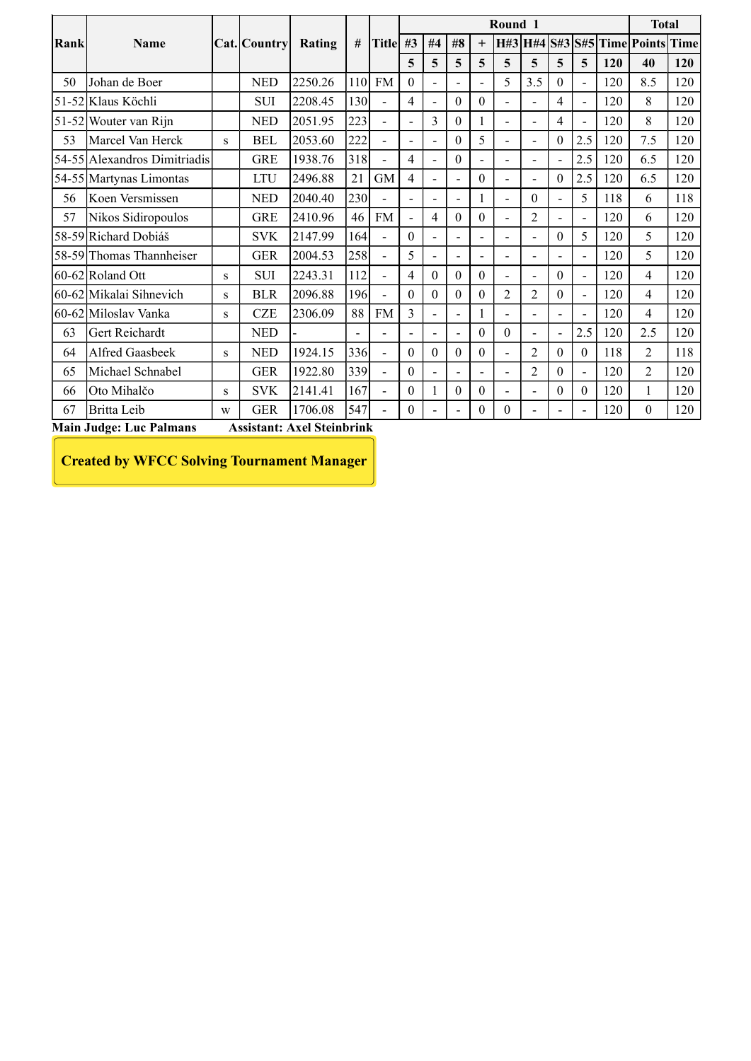| Round 1<br><b>Total</b><br>H#3 H#4 S#3 S#5 Time Points<br>Title #3 #4<br>$\#8$<br>Rank<br>#<br>$^{+}$<br>Name<br>Cat. Country<br>Rating<br>5 <sup>5</sup><br>5<br>$\overline{5}$<br>$\overline{5}$<br>$5\overline{)}$<br>$\overline{\mathbf{5}}$<br>$\overline{5}$<br>$\overline{5}$<br>120<br>120<br>40<br>110 FM<br>Johan de Boer<br>2250.26<br>$\boldsymbol{0}$<br>5<br>3.5<br>$\boldsymbol{0}$<br>120<br>8.5<br><b>NED</b><br>120<br>50<br>$\overline{\phantom{a}}$<br>$\overline{\phantom{a}}$<br>$\blacksquare$<br>$\overline{\phantom{a}}$<br>130<br>120<br>51-52 Klaus Köchli<br>2208.45<br>$\overline{4}$<br>$\boldsymbol{0}$<br>$\boldsymbol{0}$<br>120<br>8<br>SUI<br>$\overline{4}$<br>$\blacksquare$<br>$\overline{\phantom{a}}$<br>$\blacksquare$<br>$\blacksquare$<br>223<br>$\mathfrak{Z}$<br>8<br>2051.95<br>$\boldsymbol{0}$<br>120<br>120<br>51-52 Wouter van Rijn<br><b>NED</b><br>$\overline{4}$<br>$\blacksquare$<br>$\overline{\phantom{a}}$<br>$\overline{\phantom{a}}$<br>$\overline{\phantom{a}}$<br>222<br>$\sqrt{5}$<br>2.5<br>2053.60<br>120<br>7.5<br>Marcel Van Herck<br><b>BEL</b><br>$\boldsymbol{0}$<br>$\boldsymbol{0}$<br>120<br>53<br>${\bf S}$<br>÷,<br>$\overline{a}$<br>$\overline{\phantom{a}}$<br>318<br>2.5<br><b>GRE</b><br>1938.76<br>$\overline{4}$<br>120<br>54-55 Alexandros Dimitriadis<br>$\boldsymbol{0}$<br>6.5<br>$\overline{\phantom{a}}$<br>$\overline{\phantom{a}}$<br>$\blacksquare$<br>$\overline{\phantom{a}}$<br> 2.5<br>2496.88<br>21<br>$\overline{4}$<br>$\boldsymbol{0}$<br>120<br>54-55 Martynas Limontas<br><b>LTU</b><br><b>GM</b><br>6.5<br>$\boldsymbol{0}$<br>$\sim$<br>$\overline{\phantom{a}}$<br>$\overline{\phantom{a}}$<br>$\overline{\phantom{a}}$<br>230<br>118<br>Koen Versmissen<br><b>NED</b><br>2040.40<br>$\boldsymbol{0}$<br>5<br>6<br>56<br>$\overline{\phantom{a}}$<br>$\overline{\phantom{a}}$<br>$\overline{\phantom{0}}$<br>$\overline{\phantom{a}}$<br>$\overline{\phantom{0}}$<br><b>GRE</b><br>2410.96<br>46<br><b>FM</b><br>$\overline{4}$<br>$\boldsymbol{0}$<br>$\mathfrak{2}$<br>120<br>Nikos Sidiropoulos<br>$\boldsymbol{0}$<br>6<br>57<br>$\blacksquare$<br>$\overline{\phantom{a}}$<br>$\overline{\phantom{a}}$<br>$\overline{\phantom{a}}$<br>5<br>58-59 Richard Dobiáš<br>164<br>120<br>5 <sup>5</sup><br><b>SVK</b><br>2147.99<br>$\overline{0}$<br>$\overline{0}$<br>$\blacksquare$<br>$\overline{\phantom{a}}$<br>$\overline{\phantom{a}}$<br>$\blacksquare$<br>$\overline{\phantom{a}}$<br>258<br>5<br>5<br>2004.53<br>120<br>58-59 Thomas Thannheiser<br><b>GER</b><br>$\sim$<br>$\overline{\phantom{a}}$<br>$\sim$<br>$\overline{\phantom{a}}$<br>$\overline{\phantom{a}}$<br>$\overline{\phantom{a}}$<br>$\overline{\phantom{a}}$<br>$60-62$ Roland Ott<br>2243.31<br>112<br>$\overline{0}$<br>$\boldsymbol{0}$<br>120<br>SUI<br>$\overline{4}$<br>$\boldsymbol{0}$<br>$\boldsymbol{0}$<br>$\overline{4}$<br>${\bf S}$<br>$\overline{\phantom{a}}$<br>$\blacksquare$<br>$\blacksquare$<br>$\sim$<br>60-62 Mikalai Sihnevich<br>2096.88<br>196<br>$\bf{0}$<br>$\mathbf{0}$<br>$\boldsymbol{0}$<br>$\overline{2}$<br>$\overline{c}$<br><b>BLR</b><br>$\overline{0}$<br>120<br>$\overline{4}$<br>$\boldsymbol{0}$<br>$\overline{a}$<br>${\bf S}$<br>88 FM<br>$\overline{3}$<br>60-62 Miloslav Vanka<br>2306.09<br>$CZE$<br>120<br>$\overline{4}$<br>${\bf S}$<br>$\sim$<br>$\overline{\phantom{a}}$<br>$\blacksquare$<br>$\overline{a}$<br>$\blacksquare$<br>$\overline{a}$<br> 2.5<br>Gert Reichardt<br>120<br>2.5<br><b>NED</b><br>$\boldsymbol{0}$<br>$\mathbf{0}$<br>63<br>$\qquad \qquad \blacksquare$<br>1924.15<br>336<br>Alfred Gaasbeek<br>$\boldsymbol{0}$<br>$\mathbf{0}$<br>$0\,$<br>$\overline{2}$<br>$\ensuremath{\mathsf{NED}}$<br>118<br>$\overline{2}$<br>$\boldsymbol{0}$<br>$\boldsymbol{0}$<br>$\bf{0}$<br>64<br>${\bf S}$<br>$\overline{a}$<br>1922.80<br>Michael Schnabel<br>339<br>120<br>$\overline{2}$<br><b>GER</b><br>$\overline{2}$<br>$\boldsymbol{0}$<br>65<br>$\overline{0}$ |    |             |           |            |         |     |                  |              |                  |              |                          |                  |                  |     |              |             |
|----------------------------------------------------------------------------------------------------------------------------------------------------------------------------------------------------------------------------------------------------------------------------------------------------------------------------------------------------------------------------------------------------------------------------------------------------------------------------------------------------------------------------------------------------------------------------------------------------------------------------------------------------------------------------------------------------------------------------------------------------------------------------------------------------------------------------------------------------------------------------------------------------------------------------------------------------------------------------------------------------------------------------------------------------------------------------------------------------------------------------------------------------------------------------------------------------------------------------------------------------------------------------------------------------------------------------------------------------------------------------------------------------------------------------------------------------------------------------------------------------------------------------------------------------------------------------------------------------------------------------------------------------------------------------------------------------------------------------------------------------------------------------------------------------------------------------------------------------------------------------------------------------------------------------------------------------------------------------------------------------------------------------------------------------------------------------------------------------------------------------------------------------------------------------------------------------------------------------------------------------------------------------------------------------------------------------------------------------------------------------------------------------------------------------------------------------------------------------------------------------------------------------------------------------------------------------------------------------------------------------------------------------------------------------------------------------------------------------------------------------------------------------------------------------------------------------------------------------------------------------------------------------------------------------------------------------------------------------------------------------------------------------------------------------------------------------------------------------------------------------------------------------------------------------------------------------------------------------------------------------------------------------------------------------------------------------------------------------------------------------------------------------------------------------------------------------------------------------------------------------------------------------------------------------------------------------------------------------------------------------------------------------------------------------------------------------------------------------------------------------------------------------------------------------------------------------------------------------------------------------------------------------------------------------------------------------------------------------------------------------------------------|----|-------------|-----------|------------|---------|-----|------------------|--------------|------------------|--------------|--------------------------|------------------|------------------|-----|--------------|-------------|
|                                                                                                                                                                                                                                                                                                                                                                                                                                                                                                                                                                                                                                                                                                                                                                                                                                                                                                                                                                                                                                                                                                                                                                                                                                                                                                                                                                                                                                                                                                                                                                                                                                                                                                                                                                                                                                                                                                                                                                                                                                                                                                                                                                                                                                                                                                                                                                                                                                                                                                                                                                                                                                                                                                                                                                                                                                                                                                                                                                                                                                                                                                                                                                                                                                                                                                                                                                                                                                                                                                                                                                                                                                                                                                                                                                                                                                                                                                                                                                                                                      |    |             |           |            |         |     |                  |              |                  |              |                          |                  |                  |     |              |             |
|                                                                                                                                                                                                                                                                                                                                                                                                                                                                                                                                                                                                                                                                                                                                                                                                                                                                                                                                                                                                                                                                                                                                                                                                                                                                                                                                                                                                                                                                                                                                                                                                                                                                                                                                                                                                                                                                                                                                                                                                                                                                                                                                                                                                                                                                                                                                                                                                                                                                                                                                                                                                                                                                                                                                                                                                                                                                                                                                                                                                                                                                                                                                                                                                                                                                                                                                                                                                                                                                                                                                                                                                                                                                                                                                                                                                                                                                                                                                                                                                                      |    |             |           |            |         |     |                  |              |                  |              |                          |                  |                  |     |              |             |
|                                                                                                                                                                                                                                                                                                                                                                                                                                                                                                                                                                                                                                                                                                                                                                                                                                                                                                                                                                                                                                                                                                                                                                                                                                                                                                                                                                                                                                                                                                                                                                                                                                                                                                                                                                                                                                                                                                                                                                                                                                                                                                                                                                                                                                                                                                                                                                                                                                                                                                                                                                                                                                                                                                                                                                                                                                                                                                                                                                                                                                                                                                                                                                                                                                                                                                                                                                                                                                                                                                                                                                                                                                                                                                                                                                                                                                                                                                                                                                                                                      |    |             |           |            |         |     |                  |              |                  |              |                          |                  |                  |     |              |             |
|                                                                                                                                                                                                                                                                                                                                                                                                                                                                                                                                                                                                                                                                                                                                                                                                                                                                                                                                                                                                                                                                                                                                                                                                                                                                                                                                                                                                                                                                                                                                                                                                                                                                                                                                                                                                                                                                                                                                                                                                                                                                                                                                                                                                                                                                                                                                                                                                                                                                                                                                                                                                                                                                                                                                                                                                                                                                                                                                                                                                                                                                                                                                                                                                                                                                                                                                                                                                                                                                                                                                                                                                                                                                                                                                                                                                                                                                                                                                                                                                                      |    |             |           |            |         |     |                  |              |                  |              |                          |                  |                  |     |              |             |
|                                                                                                                                                                                                                                                                                                                                                                                                                                                                                                                                                                                                                                                                                                                                                                                                                                                                                                                                                                                                                                                                                                                                                                                                                                                                                                                                                                                                                                                                                                                                                                                                                                                                                                                                                                                                                                                                                                                                                                                                                                                                                                                                                                                                                                                                                                                                                                                                                                                                                                                                                                                                                                                                                                                                                                                                                                                                                                                                                                                                                                                                                                                                                                                                                                                                                                                                                                                                                                                                                                                                                                                                                                                                                                                                                                                                                                                                                                                                                                                                                      |    |             |           |            |         |     |                  |              |                  |              |                          |                  |                  |     |              |             |
|                                                                                                                                                                                                                                                                                                                                                                                                                                                                                                                                                                                                                                                                                                                                                                                                                                                                                                                                                                                                                                                                                                                                                                                                                                                                                                                                                                                                                                                                                                                                                                                                                                                                                                                                                                                                                                                                                                                                                                                                                                                                                                                                                                                                                                                                                                                                                                                                                                                                                                                                                                                                                                                                                                                                                                                                                                                                                                                                                                                                                                                                                                                                                                                                                                                                                                                                                                                                                                                                                                                                                                                                                                                                                                                                                                                                                                                                                                                                                                                                                      |    |             |           |            |         |     |                  |              |                  |              |                          |                  |                  |     |              |             |
|                                                                                                                                                                                                                                                                                                                                                                                                                                                                                                                                                                                                                                                                                                                                                                                                                                                                                                                                                                                                                                                                                                                                                                                                                                                                                                                                                                                                                                                                                                                                                                                                                                                                                                                                                                                                                                                                                                                                                                                                                                                                                                                                                                                                                                                                                                                                                                                                                                                                                                                                                                                                                                                                                                                                                                                                                                                                                                                                                                                                                                                                                                                                                                                                                                                                                                                                                                                                                                                                                                                                                                                                                                                                                                                                                                                                                                                                                                                                                                                                                      |    |             |           |            |         |     |                  |              |                  |              |                          |                  |                  |     |              |             |
|                                                                                                                                                                                                                                                                                                                                                                                                                                                                                                                                                                                                                                                                                                                                                                                                                                                                                                                                                                                                                                                                                                                                                                                                                                                                                                                                                                                                                                                                                                                                                                                                                                                                                                                                                                                                                                                                                                                                                                                                                                                                                                                                                                                                                                                                                                                                                                                                                                                                                                                                                                                                                                                                                                                                                                                                                                                                                                                                                                                                                                                                                                                                                                                                                                                                                                                                                                                                                                                                                                                                                                                                                                                                                                                                                                                                                                                                                                                                                                                                                      |    |             |           |            |         |     |                  |              |                  |              |                          |                  |                  |     |              |             |
|                                                                                                                                                                                                                                                                                                                                                                                                                                                                                                                                                                                                                                                                                                                                                                                                                                                                                                                                                                                                                                                                                                                                                                                                                                                                                                                                                                                                                                                                                                                                                                                                                                                                                                                                                                                                                                                                                                                                                                                                                                                                                                                                                                                                                                                                                                                                                                                                                                                                                                                                                                                                                                                                                                                                                                                                                                                                                                                                                                                                                                                                                                                                                                                                                                                                                                                                                                                                                                                                                                                                                                                                                                                                                                                                                                                                                                                                                                                                                                                                                      |    |             |           |            |         |     |                  |              |                  |              |                          |                  |                  |     |              |             |
|                                                                                                                                                                                                                                                                                                                                                                                                                                                                                                                                                                                                                                                                                                                                                                                                                                                                                                                                                                                                                                                                                                                                                                                                                                                                                                                                                                                                                                                                                                                                                                                                                                                                                                                                                                                                                                                                                                                                                                                                                                                                                                                                                                                                                                                                                                                                                                                                                                                                                                                                                                                                                                                                                                                                                                                                                                                                                                                                                                                                                                                                                                                                                                                                                                                                                                                                                                                                                                                                                                                                                                                                                                                                                                                                                                                                                                                                                                                                                                                                                      |    |             |           |            |         |     |                  |              |                  |              |                          |                  |                  |     |              |             |
|                                                                                                                                                                                                                                                                                                                                                                                                                                                                                                                                                                                                                                                                                                                                                                                                                                                                                                                                                                                                                                                                                                                                                                                                                                                                                                                                                                                                                                                                                                                                                                                                                                                                                                                                                                                                                                                                                                                                                                                                                                                                                                                                                                                                                                                                                                                                                                                                                                                                                                                                                                                                                                                                                                                                                                                                                                                                                                                                                                                                                                                                                                                                                                                                                                                                                                                                                                                                                                                                                                                                                                                                                                                                                                                                                                                                                                                                                                                                                                                                                      |    |             |           |            |         |     |                  |              |                  |              |                          |                  |                  |     |              |             |
|                                                                                                                                                                                                                                                                                                                                                                                                                                                                                                                                                                                                                                                                                                                                                                                                                                                                                                                                                                                                                                                                                                                                                                                                                                                                                                                                                                                                                                                                                                                                                                                                                                                                                                                                                                                                                                                                                                                                                                                                                                                                                                                                                                                                                                                                                                                                                                                                                                                                                                                                                                                                                                                                                                                                                                                                                                                                                                                                                                                                                                                                                                                                                                                                                                                                                                                                                                                                                                                                                                                                                                                                                                                                                                                                                                                                                                                                                                                                                                                                                      |    |             |           |            |         |     |                  |              |                  |              |                          |                  |                  |     |              |             |
|                                                                                                                                                                                                                                                                                                                                                                                                                                                                                                                                                                                                                                                                                                                                                                                                                                                                                                                                                                                                                                                                                                                                                                                                                                                                                                                                                                                                                                                                                                                                                                                                                                                                                                                                                                                                                                                                                                                                                                                                                                                                                                                                                                                                                                                                                                                                                                                                                                                                                                                                                                                                                                                                                                                                                                                                                                                                                                                                                                                                                                                                                                                                                                                                                                                                                                                                                                                                                                                                                                                                                                                                                                                                                                                                                                                                                                                                                                                                                                                                                      |    |             |           |            |         |     |                  |              |                  |              |                          |                  |                  |     |              |             |
|                                                                                                                                                                                                                                                                                                                                                                                                                                                                                                                                                                                                                                                                                                                                                                                                                                                                                                                                                                                                                                                                                                                                                                                                                                                                                                                                                                                                                                                                                                                                                                                                                                                                                                                                                                                                                                                                                                                                                                                                                                                                                                                                                                                                                                                                                                                                                                                                                                                                                                                                                                                                                                                                                                                                                                                                                                                                                                                                                                                                                                                                                                                                                                                                                                                                                                                                                                                                                                                                                                                                                                                                                                                                                                                                                                                                                                                                                                                                                                                                                      |    |             |           |            |         |     |                  |              |                  |              |                          |                  |                  |     |              |             |
|                                                                                                                                                                                                                                                                                                                                                                                                                                                                                                                                                                                                                                                                                                                                                                                                                                                                                                                                                                                                                                                                                                                                                                                                                                                                                                                                                                                                                                                                                                                                                                                                                                                                                                                                                                                                                                                                                                                                                                                                                                                                                                                                                                                                                                                                                                                                                                                                                                                                                                                                                                                                                                                                                                                                                                                                                                                                                                                                                                                                                                                                                                                                                                                                                                                                                                                                                                                                                                                                                                                                                                                                                                                                                                                                                                                                                                                                                                                                                                                                                      |    |             |           |            |         |     |                  |              |                  |              |                          |                  |                  |     |              |             |
|                                                                                                                                                                                                                                                                                                                                                                                                                                                                                                                                                                                                                                                                                                                                                                                                                                                                                                                                                                                                                                                                                                                                                                                                                                                                                                                                                                                                                                                                                                                                                                                                                                                                                                                                                                                                                                                                                                                                                                                                                                                                                                                                                                                                                                                                                                                                                                                                                                                                                                                                                                                                                                                                                                                                                                                                                                                                                                                                                                                                                                                                                                                                                                                                                                                                                                                                                                                                                                                                                                                                                                                                                                                                                                                                                                                                                                                                                                                                                                                                                      |    |             |           |            |         |     |                  |              |                  |              |                          |                  |                  |     |              | <b>Time</b> |
|                                                                                                                                                                                                                                                                                                                                                                                                                                                                                                                                                                                                                                                                                                                                                                                                                                                                                                                                                                                                                                                                                                                                                                                                                                                                                                                                                                                                                                                                                                                                                                                                                                                                                                                                                                                                                                                                                                                                                                                                                                                                                                                                                                                                                                                                                                                                                                                                                                                                                                                                                                                                                                                                                                                                                                                                                                                                                                                                                                                                                                                                                                                                                                                                                                                                                                                                                                                                                                                                                                                                                                                                                                                                                                                                                                                                                                                                                                                                                                                                                      |    |             |           |            |         |     |                  |              |                  |              |                          |                  |                  |     |              |             |
|                                                                                                                                                                                                                                                                                                                                                                                                                                                                                                                                                                                                                                                                                                                                                                                                                                                                                                                                                                                                                                                                                                                                                                                                                                                                                                                                                                                                                                                                                                                                                                                                                                                                                                                                                                                                                                                                                                                                                                                                                                                                                                                                                                                                                                                                                                                                                                                                                                                                                                                                                                                                                                                                                                                                                                                                                                                                                                                                                                                                                                                                                                                                                                                                                                                                                                                                                                                                                                                                                                                                                                                                                                                                                                                                                                                                                                                                                                                                                                                                                      |    |             |           |            |         |     |                  |              |                  |              |                          |                  |                  |     |              |             |
|                                                                                                                                                                                                                                                                                                                                                                                                                                                                                                                                                                                                                                                                                                                                                                                                                                                                                                                                                                                                                                                                                                                                                                                                                                                                                                                                                                                                                                                                                                                                                                                                                                                                                                                                                                                                                                                                                                                                                                                                                                                                                                                                                                                                                                                                                                                                                                                                                                                                                                                                                                                                                                                                                                                                                                                                                                                                                                                                                                                                                                                                                                                                                                                                                                                                                                                                                                                                                                                                                                                                                                                                                                                                                                                                                                                                                                                                                                                                                                                                                      |    |             |           |            |         |     |                  |              |                  |              |                          |                  |                  |     |              |             |
|                                                                                                                                                                                                                                                                                                                                                                                                                                                                                                                                                                                                                                                                                                                                                                                                                                                                                                                                                                                                                                                                                                                                                                                                                                                                                                                                                                                                                                                                                                                                                                                                                                                                                                                                                                                                                                                                                                                                                                                                                                                                                                                                                                                                                                                                                                                                                                                                                                                                                                                                                                                                                                                                                                                                                                                                                                                                                                                                                                                                                                                                                                                                                                                                                                                                                                                                                                                                                                                                                                                                                                                                                                                                                                                                                                                                                                                                                                                                                                                                                      |    |             |           |            |         |     |                  |              |                  |              |                          |                  |                  |     |              |             |
|                                                                                                                                                                                                                                                                                                                                                                                                                                                                                                                                                                                                                                                                                                                                                                                                                                                                                                                                                                                                                                                                                                                                                                                                                                                                                                                                                                                                                                                                                                                                                                                                                                                                                                                                                                                                                                                                                                                                                                                                                                                                                                                                                                                                                                                                                                                                                                                                                                                                                                                                                                                                                                                                                                                                                                                                                                                                                                                                                                                                                                                                                                                                                                                                                                                                                                                                                                                                                                                                                                                                                                                                                                                                                                                                                                                                                                                                                                                                                                                                                      |    |             |           |            |         |     |                  |              |                  |              |                          |                  |                  |     |              | 120         |
|                                                                                                                                                                                                                                                                                                                                                                                                                                                                                                                                                                                                                                                                                                                                                                                                                                                                                                                                                                                                                                                                                                                                                                                                                                                                                                                                                                                                                                                                                                                                                                                                                                                                                                                                                                                                                                                                                                                                                                                                                                                                                                                                                                                                                                                                                                                                                                                                                                                                                                                                                                                                                                                                                                                                                                                                                                                                                                                                                                                                                                                                                                                                                                                                                                                                                                                                                                                                                                                                                                                                                                                                                                                                                                                                                                                                                                                                                                                                                                                                                      |    |             |           |            |         |     |                  |              |                  |              |                          |                  |                  |     |              | 120         |
|                                                                                                                                                                                                                                                                                                                                                                                                                                                                                                                                                                                                                                                                                                                                                                                                                                                                                                                                                                                                                                                                                                                                                                                                                                                                                                                                                                                                                                                                                                                                                                                                                                                                                                                                                                                                                                                                                                                                                                                                                                                                                                                                                                                                                                                                                                                                                                                                                                                                                                                                                                                                                                                                                                                                                                                                                                                                                                                                                                                                                                                                                                                                                                                                                                                                                                                                                                                                                                                                                                                                                                                                                                                                                                                                                                                                                                                                                                                                                                                                                      |    |             |           |            |         |     |                  |              |                  |              |                          |                  |                  |     |              | 118         |
|                                                                                                                                                                                                                                                                                                                                                                                                                                                                                                                                                                                                                                                                                                                                                                                                                                                                                                                                                                                                                                                                                                                                                                                                                                                                                                                                                                                                                                                                                                                                                                                                                                                                                                                                                                                                                                                                                                                                                                                                                                                                                                                                                                                                                                                                                                                                                                                                                                                                                                                                                                                                                                                                                                                                                                                                                                                                                                                                                                                                                                                                                                                                                                                                                                                                                                                                                                                                                                                                                                                                                                                                                                                                                                                                                                                                                                                                                                                                                                                                                      |    |             |           |            |         |     |                  |              |                  |              |                          |                  |                  |     |              | 120         |
|                                                                                                                                                                                                                                                                                                                                                                                                                                                                                                                                                                                                                                                                                                                                                                                                                                                                                                                                                                                                                                                                                                                                                                                                                                                                                                                                                                                                                                                                                                                                                                                                                                                                                                                                                                                                                                                                                                                                                                                                                                                                                                                                                                                                                                                                                                                                                                                                                                                                                                                                                                                                                                                                                                                                                                                                                                                                                                                                                                                                                                                                                                                                                                                                                                                                                                                                                                                                                                                                                                                                                                                                                                                                                                                                                                                                                                                                                                                                                                                                                      |    |             |           |            |         |     |                  |              |                  |              |                          |                  |                  |     |              | 120         |
|                                                                                                                                                                                                                                                                                                                                                                                                                                                                                                                                                                                                                                                                                                                                                                                                                                                                                                                                                                                                                                                                                                                                                                                                                                                                                                                                                                                                                                                                                                                                                                                                                                                                                                                                                                                                                                                                                                                                                                                                                                                                                                                                                                                                                                                                                                                                                                                                                                                                                                                                                                                                                                                                                                                                                                                                                                                                                                                                                                                                                                                                                                                                                                                                                                                                                                                                                                                                                                                                                                                                                                                                                                                                                                                                                                                                                                                                                                                                                                                                                      |    |             |           |            |         |     |                  |              |                  |              |                          |                  |                  |     |              | 120         |
|                                                                                                                                                                                                                                                                                                                                                                                                                                                                                                                                                                                                                                                                                                                                                                                                                                                                                                                                                                                                                                                                                                                                                                                                                                                                                                                                                                                                                                                                                                                                                                                                                                                                                                                                                                                                                                                                                                                                                                                                                                                                                                                                                                                                                                                                                                                                                                                                                                                                                                                                                                                                                                                                                                                                                                                                                                                                                                                                                                                                                                                                                                                                                                                                                                                                                                                                                                                                                                                                                                                                                                                                                                                                                                                                                                                                                                                                                                                                                                                                                      |    |             |           |            |         |     |                  |              |                  |              |                          |                  |                  |     |              | 120         |
|                                                                                                                                                                                                                                                                                                                                                                                                                                                                                                                                                                                                                                                                                                                                                                                                                                                                                                                                                                                                                                                                                                                                                                                                                                                                                                                                                                                                                                                                                                                                                                                                                                                                                                                                                                                                                                                                                                                                                                                                                                                                                                                                                                                                                                                                                                                                                                                                                                                                                                                                                                                                                                                                                                                                                                                                                                                                                                                                                                                                                                                                                                                                                                                                                                                                                                                                                                                                                                                                                                                                                                                                                                                                                                                                                                                                                                                                                                                                                                                                                      |    |             |           |            |         |     |                  |              |                  |              |                          |                  |                  |     |              | 120         |
|                                                                                                                                                                                                                                                                                                                                                                                                                                                                                                                                                                                                                                                                                                                                                                                                                                                                                                                                                                                                                                                                                                                                                                                                                                                                                                                                                                                                                                                                                                                                                                                                                                                                                                                                                                                                                                                                                                                                                                                                                                                                                                                                                                                                                                                                                                                                                                                                                                                                                                                                                                                                                                                                                                                                                                                                                                                                                                                                                                                                                                                                                                                                                                                                                                                                                                                                                                                                                                                                                                                                                                                                                                                                                                                                                                                                                                                                                                                                                                                                                      |    |             |           |            |         |     |                  |              |                  |              |                          |                  |                  |     |              | 120         |
|                                                                                                                                                                                                                                                                                                                                                                                                                                                                                                                                                                                                                                                                                                                                                                                                                                                                                                                                                                                                                                                                                                                                                                                                                                                                                                                                                                                                                                                                                                                                                                                                                                                                                                                                                                                                                                                                                                                                                                                                                                                                                                                                                                                                                                                                                                                                                                                                                                                                                                                                                                                                                                                                                                                                                                                                                                                                                                                                                                                                                                                                                                                                                                                                                                                                                                                                                                                                                                                                                                                                                                                                                                                                                                                                                                                                                                                                                                                                                                                                                      |    |             |           |            |         |     |                  |              |                  |              |                          |                  |                  |     |              | 120         |
|                                                                                                                                                                                                                                                                                                                                                                                                                                                                                                                                                                                                                                                                                                                                                                                                                                                                                                                                                                                                                                                                                                                                                                                                                                                                                                                                                                                                                                                                                                                                                                                                                                                                                                                                                                                                                                                                                                                                                                                                                                                                                                                                                                                                                                                                                                                                                                                                                                                                                                                                                                                                                                                                                                                                                                                                                                                                                                                                                                                                                                                                                                                                                                                                                                                                                                                                                                                                                                                                                                                                                                                                                                                                                                                                                                                                                                                                                                                                                                                                                      |    |             |           |            |         |     |                  |              |                  |              |                          |                  |                  |     |              | 118         |
|                                                                                                                                                                                                                                                                                                                                                                                                                                                                                                                                                                                                                                                                                                                                                                                                                                                                                                                                                                                                                                                                                                                                                                                                                                                                                                                                                                                                                                                                                                                                                                                                                                                                                                                                                                                                                                                                                                                                                                                                                                                                                                                                                                                                                                                                                                                                                                                                                                                                                                                                                                                                                                                                                                                                                                                                                                                                                                                                                                                                                                                                                                                                                                                                                                                                                                                                                                                                                                                                                                                                                                                                                                                                                                                                                                                                                                                                                                                                                                                                                      |    |             |           |            |         |     |                  |              |                  |              |                          |                  |                  |     |              | 120         |
|                                                                                                                                                                                                                                                                                                                                                                                                                                                                                                                                                                                                                                                                                                                                                                                                                                                                                                                                                                                                                                                                                                                                                                                                                                                                                                                                                                                                                                                                                                                                                                                                                                                                                                                                                                                                                                                                                                                                                                                                                                                                                                                                                                                                                                                                                                                                                                                                                                                                                                                                                                                                                                                                                                                                                                                                                                                                                                                                                                                                                                                                                                                                                                                                                                                                                                                                                                                                                                                                                                                                                                                                                                                                                                                                                                                                                                                                                                                                                                                                                      |    | Oto Mihalčo | ${\bf S}$ | <b>SVK</b> | 2141.41 | 167 | $\boldsymbol{0}$ | $\mathbf{1}$ | $\boldsymbol{0}$ | $\mathbf{0}$ | $\overline{\phantom{a}}$ | $\boldsymbol{0}$ | $\boldsymbol{0}$ | 120 | $\mathbf{1}$ | 120         |
| 1706.08<br>547<br>120<br>Britta Leib<br><b>GER</b><br>$\overline{0}$<br>67<br>$\overline{0}$<br>$\boldsymbol{0}$<br>$\overline{0}$<br>W<br>$\overline{\phantom{a}}$<br>$\overline{\phantom{a}}$<br>$\overline{\phantom{a}}$                                                                                                                                                                                                                                                                                                                                                                                                                                                                                                                                                                                                                                                                                                                                                                                                                                                                                                                                                                                                                                                                                                                                                                                                                                                                                                                                                                                                                                                                                                                                                                                                                                                                                                                                                                                                                                                                                                                                                                                                                                                                                                                                                                                                                                                                                                                                                                                                                                                                                                                                                                                                                                                                                                                                                                                                                                                                                                                                                                                                                                                                                                                                                                                                                                                                                                                                                                                                                                                                                                                                                                                                                                                                                                                                                                                          | 66 |             |           |            |         |     |                  |              |                  |              |                          |                  |                  |     |              | 120         |
| <b>Main Judge: Luc Palmans</b><br><b>Assistant: Axel Steinbrink</b>                                                                                                                                                                                                                                                                                                                                                                                                                                                                                                                                                                                                                                                                                                                                                                                                                                                                                                                                                                                                                                                                                                                                                                                                                                                                                                                                                                                                                                                                                                                                                                                                                                                                                                                                                                                                                                                                                                                                                                                                                                                                                                                                                                                                                                                                                                                                                                                                                                                                                                                                                                                                                                                                                                                                                                                                                                                                                                                                                                                                                                                                                                                                                                                                                                                                                                                                                                                                                                                                                                                                                                                                                                                                                                                                                                                                                                                                                                                                                  |    |             |           |            |         |     |                  |              |                  |              |                          |                  |                  |     |              |             |
| <b>Created by WFCC Solving Tournament Manager</b>                                                                                                                                                                                                                                                                                                                                                                                                                                                                                                                                                                                                                                                                                                                                                                                                                                                                                                                                                                                                                                                                                                                                                                                                                                                                                                                                                                                                                                                                                                                                                                                                                                                                                                                                                                                                                                                                                                                                                                                                                                                                                                                                                                                                                                                                                                                                                                                                                                                                                                                                                                                                                                                                                                                                                                                                                                                                                                                                                                                                                                                                                                                                                                                                                                                                                                                                                                                                                                                                                                                                                                                                                                                                                                                                                                                                                                                                                                                                                                    |    |             |           |            |         |     |                  |              |                  |              |                          |                  |                  |     |              |             |